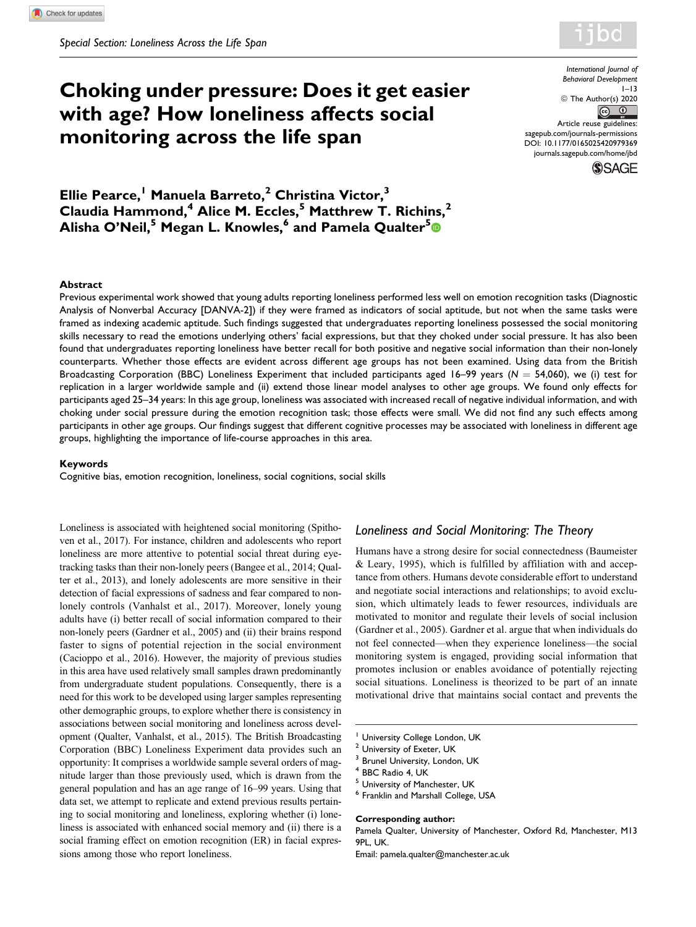# **Choking under pressure: Does it get easier with age? How loneliness affects social monitoring across the life span**

*International Journal of Behavioral Development*  $1 - 13$ © The Author(s) 2020  $\bigcap$  $\odot$ Article reuse guidelines: [sagepub.com/journals-permissions](https://sagepub.com/journals-permissions) [DOI: 10.1177/0165025420979369](https://doi.org/10.1177/0165025420979369) [journals.sagepub.com/home/jbd](http://journals.sagepub.com/home/jbd)

**SSAGE** 

**Ellie Pearce,<sup>1</sup> Manuela Barreto,<sup>2</sup> Christina Victor,<sup>3</sup> Claudia Hammond,<sup>4</sup> Alice M. Eccles,<sup>5</sup> Matthrew T. Richins,<sup>2</sup> Alisha O'Neil,<sup>5</sup> Megan L. Knowles,<sup>6</sup> and Pamela Qualter[5](https://orcid.org/0000-0001-6114-3820)**

#### **Abstract**

Previous experimental work showed that young adults reporting loneliness performed less well on emotion recognition tasks (Diagnostic Analysis of Nonverbal Accuracy [DANVA-2]) if they were framed as indicators of social aptitude, but not when the same tasks were framed as indexing academic aptitude. Such findings suggested that undergraduates reporting loneliness possessed the social monitoring skills necessary to read the emotions underlying others' facial expressions, but that they choked under social pressure. It has also been found that undergraduates reporting loneliness have better recall for both positive and negative social information than their non-lonely counterparts. Whether those effects are evident across different age groups has not been examined. Using data from the British Broadcasting Corporation (BBC) Loneliness Experiment that included participants aged 16–99 years ( $N = 54,060$ ), we (i) test for replication in a larger worldwide sample and (ii) extend those linear model analyses to other age groups. We found only effects for participants aged 25–34 years: In this age group, loneliness was associated with increased recall of negative individual information, and with choking under social pressure during the emotion recognition task; those effects were small. We did not find any such effects among participants in other age groups. Our findings suggest that different cognitive processes may be associated with loneliness in different age groups, highlighting the importance of life-course approaches in this area.

### **Keywords**

Cognitive bias, emotion recognition, loneliness, social cognitions, social skills

Loneliness is associated with heightened social monitoring (Spithoven et al., 2017). For instance, children and adolescents who report loneliness are more attentive to potential social threat during eyetracking tasks than their non-lonely peers (Bangee et al., 2014; Qualter et al., 2013), and lonely adolescents are more sensitive in their detection of facial expressions of sadness and fear compared to nonlonely controls (Vanhalst et al., 2017). Moreover, lonely young adults have (i) better recall of social information compared to their non-lonely peers (Gardner et al., 2005) and (ii) their brains respond faster to signs of potential rejection in the social environment (Cacioppo et al., 2016). However, the majority of previous studies in this area have used relatively small samples drawn predominantly from undergraduate student populations. Consequently, there is a need for this work to be developed using larger samples representing other demographic groups, to explore whether there is consistency in associations between social monitoring and loneliness across development (Qualter, Vanhalst, et al., 2015). The British Broadcasting Corporation (BBC) Loneliness Experiment data provides such an opportunity: It comprises a worldwide sample several orders of magnitude larger than those previously used, which is drawn from the general population and has an age range of 16–99 years. Using that data set, we attempt to replicate and extend previous results pertaining to social monitoring and loneliness, exploring whether (i) loneliness is associated with enhanced social memory and (ii) there is a social framing effect on emotion recognition (ER) in facial expressions among those who report loneliness.

### *Loneliness and Social Monitoring: The Theory*

Humans have a strong desire for social connectedness (Baumeister & Leary, 1995), which is fulfilled by affiliation with and acceptance from others. Humans devote considerable effort to understand and negotiate social interactions and relationships; to avoid exclusion, which ultimately leads to fewer resources, individuals are motivated to monitor and regulate their levels of social inclusion (Gardner et al., 2005). Gardner et al. argue that when individuals do not feel connected—when they experience loneliness—the social monitoring system is engaged, providing social information that promotes inclusion or enables avoidance of potentially rejecting social situations. Loneliness is theorized to be part of an innate motivational drive that maintains social contact and prevents the

- <sup>1</sup> University College London, UK
- <sup>2</sup> University of Exeter, UK
- <sup>3</sup> Brunel University, London, UK
- <sup>4</sup> BBC Radio 4, UK
- <sup>5</sup> University of Manchester, UK

#### **Corresponding author:**

Pamela Qualter, University of Manchester, Oxford Rd, Manchester, M13 9PL, UK.

Email: [pamela.qualter@manchester.ac.uk](mailto:pamela.qualter@manchester.ac.uk)

<sup>6</sup> Franklin and Marshall College, USA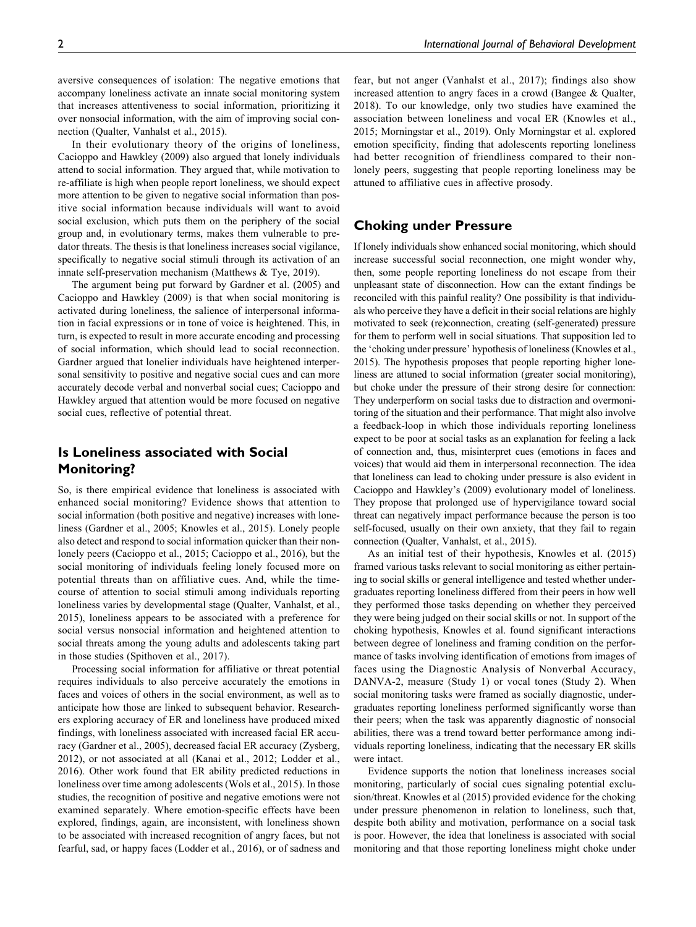aversive consequences of isolation: The negative emotions that accompany loneliness activate an innate social monitoring system that increases attentiveness to social information, prioritizing it over nonsocial information, with the aim of improving social connection (Qualter, Vanhalst et al., 2015).

In their evolutionary theory of the origins of loneliness, Cacioppo and Hawkley (2009) also argued that lonely individuals attend to social information. They argued that, while motivation to re-affiliate is high when people report loneliness, we should expect more attention to be given to negative social information than positive social information because individuals will want to avoid social exclusion, which puts them on the periphery of the social group and, in evolutionary terms, makes them vulnerable to predator threats. The thesis is that loneliness increases social vigilance, specifically to negative social stimuli through its activation of an innate self-preservation mechanism (Matthews & Tye, 2019).

The argument being put forward by Gardner et al. (2005) and Cacioppo and Hawkley (2009) is that when social monitoring is activated during loneliness, the salience of interpersonal information in facial expressions or in tone of voice is heightened. This, in turn, is expected to result in more accurate encoding and processing of social information, which should lead to social reconnection. Gardner argued that lonelier individuals have heightened interpersonal sensitivity to positive and negative social cues and can more accurately decode verbal and nonverbal social cues; Cacioppo and Hawkley argued that attention would be more focused on negative social cues, reflective of potential threat.

# **Is Loneliness associated with Social Monitoring?**

So, is there empirical evidence that loneliness is associated with enhanced social monitoring? Evidence shows that attention to social information (both positive and negative) increases with loneliness (Gardner et al., 2005; Knowles et al., 2015). Lonely people also detect and respond to social information quicker than their nonlonely peers (Cacioppo et al., 2015; Cacioppo et al., 2016), but the social monitoring of individuals feeling lonely focused more on potential threats than on affiliative cues. And, while the timecourse of attention to social stimuli among individuals reporting loneliness varies by developmental stage (Qualter, Vanhalst, et al., 2015), loneliness appears to be associated with a preference for social versus nonsocial information and heightened attention to social threats among the young adults and adolescents taking part in those studies (Spithoven et al., 2017).

Processing social information for affiliative or threat potential requires individuals to also perceive accurately the emotions in faces and voices of others in the social environment, as well as to anticipate how those are linked to subsequent behavior. Researchers exploring accuracy of ER and loneliness have produced mixed findings, with loneliness associated with increased facial ER accuracy (Gardner et al., 2005), decreased facial ER accuracy (Zysberg, 2012), or not associated at all (Kanai et al., 2012; Lodder et al., 2016). Other work found that ER ability predicted reductions in loneliness over time among adolescents (Wols et al., 2015). In those studies, the recognition of positive and negative emotions were not examined separately. Where emotion-specific effects have been explored, findings, again, are inconsistent, with loneliness shown to be associated with increased recognition of angry faces, but not fearful, sad, or happy faces (Lodder et al., 2016), or of sadness and

fear, but not anger (Vanhalst et al., 2017); findings also show increased attention to angry faces in a crowd (Bangee & Qualter, 2018). To our knowledge, only two studies have examined the association between loneliness and vocal ER (Knowles et al., 2015; Morningstar et al., 2019). Only Morningstar et al. explored emotion specificity, finding that adolescents reporting loneliness had better recognition of friendliness compared to their nonlonely peers, suggesting that people reporting loneliness may be attuned to affiliative cues in affective prosody.

# **Choking under Pressure**

If lonely individuals show enhanced social monitoring, which should increase successful social reconnection, one might wonder why, then, some people reporting loneliness do not escape from their unpleasant state of disconnection. How can the extant findings be reconciled with this painful reality? One possibility is that individuals who perceive they have a deficit in their social relations are highly motivated to seek (re)connection, creating (self-generated) pressure for them to perform well in social situations. That supposition led to the 'choking under pressure' hypothesis of loneliness (Knowles et al., 2015). The hypothesis proposes that people reporting higher loneliness are attuned to social information (greater social monitoring), but choke under the pressure of their strong desire for connection: They underperform on social tasks due to distraction and overmonitoring of the situation and their performance. That might also involve a feedback-loop in which those individuals reporting loneliness expect to be poor at social tasks as an explanation for feeling a lack of connection and, thus, misinterpret cues (emotions in faces and voices) that would aid them in interpersonal reconnection. The idea that loneliness can lead to choking under pressure is also evident in Cacioppo and Hawkley's (2009) evolutionary model of loneliness. They propose that prolonged use of hypervigilance toward social threat can negatively impact performance because the person is too self-focused, usually on their own anxiety, that they fail to regain connection (Qualter, Vanhalst, et al., 2015).

As an initial test of their hypothesis, Knowles et al. (2015) framed various tasks relevant to social monitoring as either pertaining to social skills or general intelligence and tested whether undergraduates reporting loneliness differed from their peers in how well they performed those tasks depending on whether they perceived they were being judged on their social skills or not. In support of the choking hypothesis, Knowles et al. found significant interactions between degree of loneliness and framing condition on the performance of tasks involving identification of emotions from images of faces using the Diagnostic Analysis of Nonverbal Accuracy, DANVA-2, measure (Study 1) or vocal tones (Study 2). When social monitoring tasks were framed as socially diagnostic, undergraduates reporting loneliness performed significantly worse than their peers; when the task was apparently diagnostic of nonsocial abilities, there was a trend toward better performance among individuals reporting loneliness, indicating that the necessary ER skills were intact.

Evidence supports the notion that loneliness increases social monitoring, particularly of social cues signaling potential exclusion/threat. Knowles et al (2015) provided evidence for the choking under pressure phenomenon in relation to loneliness, such that, despite both ability and motivation, performance on a social task is poor. However, the idea that loneliness is associated with social monitoring and that those reporting loneliness might choke under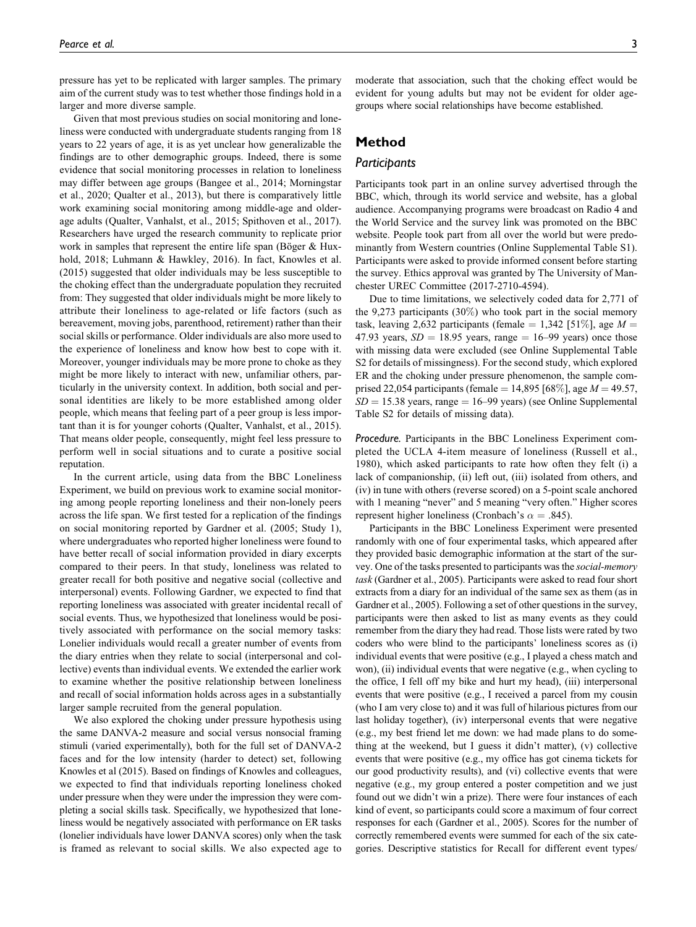pressure has yet to be replicated with larger samples. The primary aim of the current study was to test whether those findings hold in a larger and more diverse sample.

Given that most previous studies on social monitoring and loneliness were conducted with undergraduate students ranging from 18 years to 22 years of age, it is as yet unclear how generalizable the findings are to other demographic groups. Indeed, there is some evidence that social monitoring processes in relation to loneliness may differ between age groups (Bangee et al., 2014; Morningstar et al., 2020; Qualter et al., 2013), but there is comparatively little work examining social monitoring among middle-age and olderage adults (Qualter, Vanhalst, et al., 2015; Spithoven et al., 2017). Researchers have urged the research community to replicate prior work in samples that represent the entire life span (Böger  $& Hux$ hold, 2018; Luhmann & Hawkley, 2016). In fact, Knowles et al. (2015) suggested that older individuals may be less susceptible to the choking effect than the undergraduate population they recruited from: They suggested that older individuals might be more likely to attribute their loneliness to age-related or life factors (such as bereavement, moving jobs, parenthood, retirement) rather than their social skills or performance. Older individuals are also more used to the experience of loneliness and know how best to cope with it. Moreover, younger individuals may be more prone to choke as they might be more likely to interact with new, unfamiliar others, particularly in the university context. In addition, both social and personal identities are likely to be more established among older people, which means that feeling part of a peer group is less important than it is for younger cohorts (Qualter, Vanhalst, et al., 2015). That means older people, consequently, might feel less pressure to perform well in social situations and to curate a positive social reputation.

In the current article, using data from the BBC Loneliness Experiment, we build on previous work to examine social monitoring among people reporting loneliness and their non-lonely peers across the life span. We first tested for a replication of the findings on social monitoring reported by Gardner et al. (2005; Study 1), where undergraduates who reported higher loneliness were found to have better recall of social information provided in diary excerpts compared to their peers. In that study, loneliness was related to greater recall for both positive and negative social (collective and interpersonal) events. Following Gardner, we expected to find that reporting loneliness was associated with greater incidental recall of social events. Thus, we hypothesized that loneliness would be positively associated with performance on the social memory tasks: Lonelier individuals would recall a greater number of events from the diary entries when they relate to social (interpersonal and collective) events than individual events. We extended the earlier work to examine whether the positive relationship between loneliness and recall of social information holds across ages in a substantially larger sample recruited from the general population.

We also explored the choking under pressure hypothesis using the same DANVA-2 measure and social versus nonsocial framing stimuli (varied experimentally), both for the full set of DANVA-2 faces and for the low intensity (harder to detect) set, following Knowles et al (2015). Based on findings of Knowles and colleagues, we expected to find that individuals reporting loneliness choked under pressure when they were under the impression they were completing a social skills task. Specifically, we hypothesized that loneliness would be negatively associated with performance on ER tasks (lonelier individuals have lower DANVA scores) only when the task is framed as relevant to social skills. We also expected age to

moderate that association, such that the choking effect would be evident for young adults but may not be evident for older agegroups where social relationships have become established.

# **Method**

### *Participants*

Participants took part in an online survey advertised through the BBC, which, through its world service and website, has a global audience. Accompanying programs were broadcast on Radio 4 and the World Service and the survey link was promoted on the BBC website. People took part from all over the world but were predominantly from Western countries (Online Supplemental Table S1). Participants were asked to provide informed consent before starting the survey. Ethics approval was granted by The University of Manchester UREC Committee (2017-2710-4594).

Due to time limitations, we selectively coded data for 2,771 of the 9,273 participants  $(30\%)$  who took part in the social memory task, leaving 2,632 participants (female = 1,342 [51\%], age  $M =$ 47.93 years,  $SD = 18.95$  years, range = 16–99 years) once those with missing data were excluded (see Online Supplemental Table S2 for details of missingness). For the second study, which explored ER and the choking under pressure phenomenon, the sample comprised 22,054 participants (female = 14,895 [68%], age  $M = 49.57$ ,  $SD = 15.38$  years, range = 16–99 years) (see Online Supplemental Table S2 for details of missing data).

*Procedure.* Participants in the BBC Loneliness Experiment completed the UCLA 4-item measure of loneliness (Russell et al., 1980), which asked participants to rate how often they felt (i) a lack of companionship, (ii) left out, (iii) isolated from others, and (iv) in tune with others (reverse scored) on a 5-point scale anchored with 1 meaning "never" and 5 meaning "very often." Higher scores represent higher loneliness (Cronbach's  $\alpha = .845$ ).

Participants in the BBC Loneliness Experiment were presented randomly with one of four experimental tasks, which appeared after they provided basic demographic information at the start of the survey. One of the tasks presented to participants was the social-memory task (Gardner et al., 2005). Participants were asked to read four short extracts from a diary for an individual of the same sex as them (as in Gardner et al., 2005). Following a set of other questions in the survey, participants were then asked to list as many events as they could remember from the diary they had read. Those lists were rated by two coders who were blind to the participants' loneliness scores as (i) individual events that were positive (e.g., I played a chess match and won), (ii) individual events that were negative (e.g., when cycling to the office, I fell off my bike and hurt my head), (iii) interpersonal events that were positive (e.g., I received a parcel from my cousin (who I am very close to) and it was full of hilarious pictures from our last holiday together), (iv) interpersonal events that were negative (e.g., my best friend let me down: we had made plans to do something at the weekend, but I guess it didn't matter), (v) collective events that were positive (e.g., my office has got cinema tickets for our good productivity results), and (vi) collective events that were negative (e.g., my group entered a poster competition and we just found out we didn't win a prize). There were four instances of each kind of event, so participants could score a maximum of four correct responses for each (Gardner et al., 2005). Scores for the number of correctly remembered events were summed for each of the six categories. Descriptive statistics for Recall for different event types/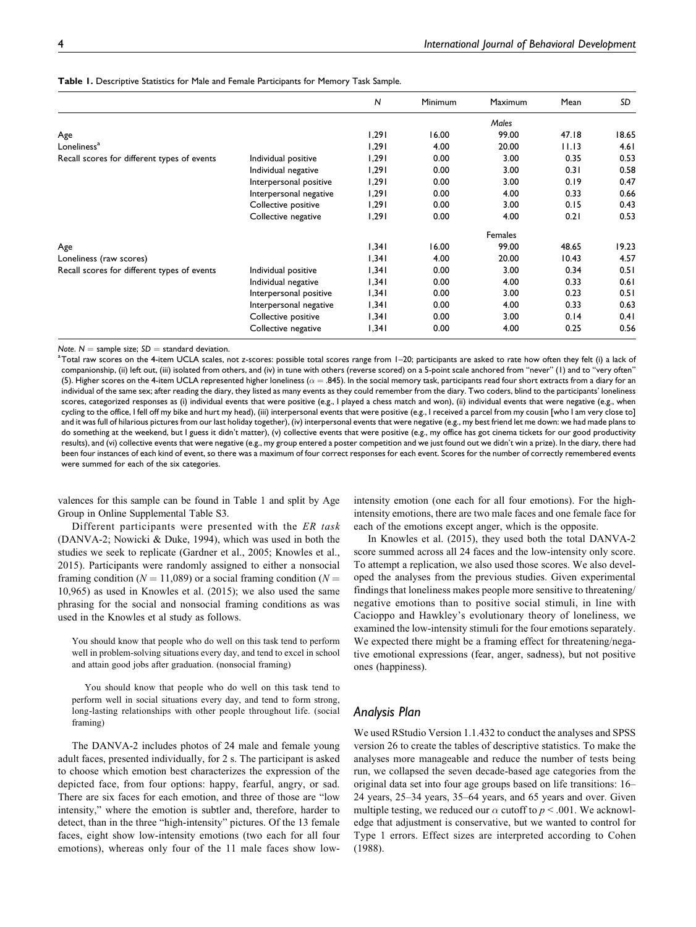|                                             |                        | $\overline{N}$ | Minimum | Maximum | Mean  | SD    |
|---------------------------------------------|------------------------|----------------|---------|---------|-------|-------|
|                                             |                        |                |         | Males   |       |       |
| Age                                         |                        | 1,291          | 16.00   | 99.00   | 47.18 | 18.65 |
| Loneliness <sup>a</sup>                     |                        | 1.291          | 4.00    | 20.00   | 11.13 | 4.61  |
| Recall scores for different types of events | Individual positive    | 1,291          | 0.00    | 3.00    | 0.35  | 0.53  |
|                                             | Individual negative    | 1,291          | 0.00    | 3.00    | 0.31  | 0.58  |
|                                             | Interpersonal positive | 1,291          | 0.00    | 3.00    | 0.19  | 0.47  |
|                                             | Interpersonal negative | 1,291          | 0.00    | 4.00    | 0.33  | 0.66  |
|                                             | Collective positive    | 1,291          | 0.00    | 3.00    | 0.15  | 0.43  |
|                                             | Collective negative    | 1,291          | 0.00    | 4.00    | 0.21  | 0.53  |
|                                             |                        |                |         | Females |       |       |
| Age                                         |                        | 1,341          | 16.00   | 99.00   | 48.65 | 19.23 |
| Loneliness (raw scores)                     |                        | 1,341          | 4.00    | 20.00   | 10.43 | 4.57  |
| Recall scores for different types of events | Individual positive    | 1,341          | 0.00    | 3.00    | 0.34  | 0.51  |
|                                             | Individual negative    | 1,341          | 0.00    | 4.00    | 0.33  | 0.61  |
|                                             | Interpersonal positive | 1,341          | 0.00    | 3.00    | 0.23  | 0.51  |
|                                             | Interpersonal negative | 1,341          | 0.00    | 4.00    | 0.33  | 0.63  |
|                                             | Collective positive    | 1,341          | 0.00    | 3.00    | 0.14  | 0.41  |
|                                             | Collective negative    | 1,341          | 0.00    | 4.00    | 0.25  | 0.56  |

**Table 1.** Descriptive Statistics for Male and Female Participants for Memory Task Sample.

*Note.*  $N =$  sample size;  $SD =$  standard deviation.

Total raw scores on the 4-item UCLA scales, not *z*-scores: possible total scores range from 1–20; participants are asked to rate how often they felt (i) a lack of companionship, (ii) left out, (iii) isolated from others, and (iv) in tune with others (reverse scored) on a 5-point scale anchored from "never" (1) and to "very often" (5). Higher scores on the 4-item UCLA represented higher loneliness ( $\alpha =$ .845). In the social memory task, participants read four short extracts from a diary for an individual of the same sex; after reading the diary, they listed as many events as they could remember from the diary. Two coders, blind to the participants' loneliness scores, categorized responses as (i) individual events that were positive (e.g., I played a chess match and won), (ii) individual events that were negative (e.g., when cycling to the office, I fell off my bike and hurt my head), (iii) interpersonal events that were positive (e.g., I received a parcel from my cousin [who I am very close to] and it was full of hilarious pictures from our last holiday together), (iv) interpersonal events that were negative (e.g., my best friend let me down: we had made plans to do something at the weekend, but I guess it didn't matter), (v) collective events that were positive (e.g., my office has got cinema tickets for our good productivity results), and (vi) collective events that were negative (e.g., my group entered a poster competition and we just found out we didn't win a prize). In the diary, there had been four instances of each kind of event, so there was a maximum of four correct responses for each event. Scores for the number of correctly remembered events were summed for each of the six categories.

valences for this sample can be found in Table 1 and split by Age Group in Online Supplemental Table S3.

Different participants were presented with the ER task (DANVA-2; Nowicki & Duke, 1994), which was used in both the studies we seek to replicate (Gardner et al., 2005; Knowles et al., 2015). Participants were randomly assigned to either a nonsocial framing condition ( $N = 11,089$ ) or a social framing condition ( $N =$ 10,965) as used in Knowles et al. (2015); we also used the same phrasing for the social and nonsocial framing conditions as was used in the Knowles et al study as follows.

You should know that people who do well on this task tend to perform well in problem-solving situations every day, and tend to excel in school and attain good jobs after graduation. (nonsocial framing)

You should know that people who do well on this task tend to perform well in social situations every day, and tend to form strong, long-lasting relationships with other people throughout life. (social framing)

The DANVA-2 includes photos of 24 male and female young adult faces, presented individually, for 2 s. The participant is asked to choose which emotion best characterizes the expression of the depicted face, from four options: happy, fearful, angry, or sad. There are six faces for each emotion, and three of those are "low intensity," where the emotion is subtler and, therefore, harder to detect, than in the three "high-intensity" pictures. Of the 13 female faces, eight show low-intensity emotions (two each for all four emotions), whereas only four of the 11 male faces show lowintensity emotion (one each for all four emotions). For the highintensity emotions, there are two male faces and one female face for each of the emotions except anger, which is the opposite.

In Knowles et al. (2015), they used both the total DANVA-2 score summed across all 24 faces and the low-intensity only score. To attempt a replication, we also used those scores. We also developed the analyses from the previous studies. Given experimental findings that loneliness makes people more sensitive to threatening/ negative emotions than to positive social stimuli, in line with Cacioppo and Hawkley's evolutionary theory of loneliness, we examined the low-intensity stimuli for the four emotions separately. We expected there might be a framing effect for threatening/negative emotional expressions (fear, anger, sadness), but not positive ones (happiness).

# *Analysis Plan*

We used RStudio Version 1.1.432 to conduct the analyses and SPSS version 26 to create the tables of descriptive statistics. To make the analyses more manageable and reduce the number of tests being run, we collapsed the seven decade-based age categories from the original data set into four age groups based on life transitions: 16– 24 years, 25–34 years, 35–64 years, and 65 years and over. Given multiple testing, we reduced our  $\alpha$  cutoff to  $p < .001$ . We acknowledge that adjustment is conservative, but we wanted to control for Type 1 errors. Effect sizes are interpreted according to Cohen (1988).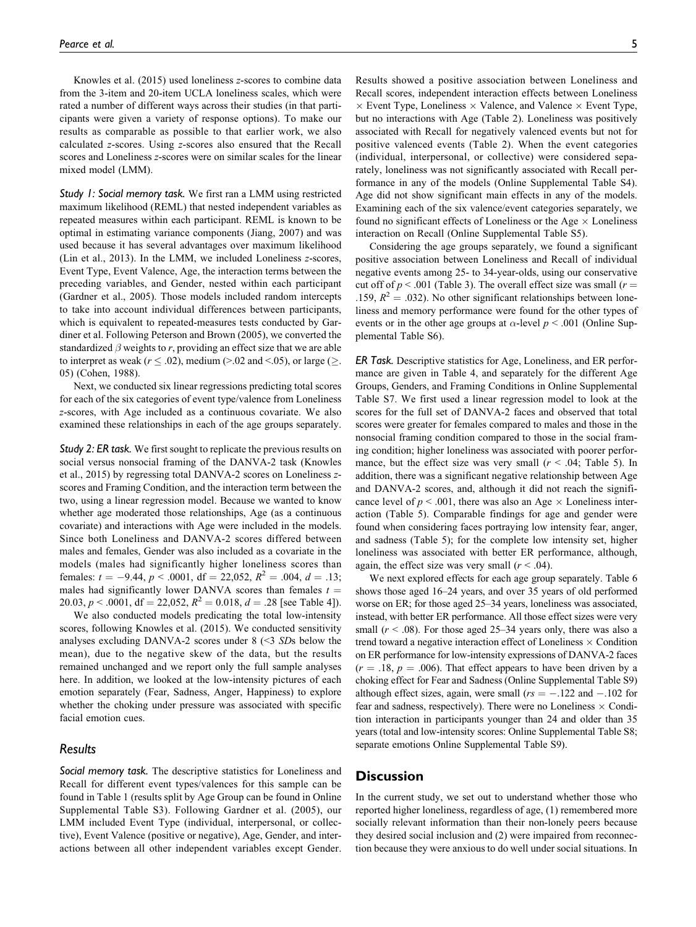Knowles et al. (2015) used loneliness z-scores to combine data from the 3-item and 20-item UCLA loneliness scales, which were rated a number of different ways across their studies (in that participants were given a variety of response options). To make our results as comparable as possible to that earlier work, we also calculated z-scores. Using z-scores also ensured that the Recall scores and Loneliness z-scores were on similar scales for the linear mixed model (LMM).

*Study 1: Social memory task.* We first ran a LMM using restricted maximum likelihood (REML) that nested independent variables as repeated measures within each participant. REML is known to be optimal in estimating variance components (Jiang, 2007) and was used because it has several advantages over maximum likelihood (Lin et al., 2013). In the LMM, we included Loneliness z-scores, Event Type, Event Valence, Age, the interaction terms between the preceding variables, and Gender, nested within each participant (Gardner et al., 2005). Those models included random intercepts to take into account individual differences between participants, which is equivalent to repeated-measures tests conducted by Gardiner et al. Following Peterson and Brown (2005), we converted the standardized  $\beta$  weights to r, providing an effect size that we are able to interpret as weak ( $r \leq .02$ ), medium (>.02 and <.05), or large ( $\geq$ . 05) (Cohen, 1988).

Next, we conducted six linear regressions predicting total scores for each of the six categories of event type/valence from Loneliness z-scores, with Age included as a continuous covariate. We also examined these relationships in each of the age groups separately.

*Study 2: ER task.* We first sought to replicate the previous results on social versus nonsocial framing of the DANVA-2 task (Knowles et al., 2015) by regressing total DANVA-2 scores on Loneliness zscores and Framing Condition, and the interaction term between the two, using a linear regression model. Because we wanted to know whether age moderated those relationships, Age (as a continuous covariate) and interactions with Age were included in the models. Since both Loneliness and DANVA-2 scores differed between males and females, Gender was also included as a covariate in the models (males had significantly higher loneliness scores than females:  $t = -9.44$ ,  $p < .0001$ ,  $df = 22.052$ ,  $R^2 = .004$ ,  $d = .13$ ; males had significantly lower DANVA scores than females  $t =$ 20.03,  $p < .0001$ , df = 22,052,  $R^2 = 0.018$ ,  $d = .28$  [see Table 4]).

We also conducted models predicating the total low-intensity scores, following Knowles et al. (2015). We conducted sensitivity analyses excluding DANVA-2 scores under 8 (<3 SDs below the mean), due to the negative skew of the data, but the results remained unchanged and we report only the full sample analyses here. In addition, we looked at the low-intensity pictures of each emotion separately (Fear, Sadness, Anger, Happiness) to explore whether the choking under pressure was associated with specific facial emotion cues.

# *Results*

*Social memory task.* The descriptive statistics for Loneliness and Recall for different event types/valences for this sample can be found in Table 1 (results split by Age Group can be found in Online Supplemental Table S3). Following Gardner et al. (2005), our LMM included Event Type (individual, interpersonal, or collective), Event Valence (positive or negative), Age, Gender, and interactions between all other independent variables except Gender.

Results showed a positive association between Loneliness and Recall scores, independent interaction effects between Loneliness  $\times$  Event Type, Loneliness  $\times$  Valence, and Valence  $\times$  Event Type, but no interactions with Age (Table 2). Loneliness was positively associated with Recall for negatively valenced events but not for positive valenced events (Table 2). When the event categories (individual, interpersonal, or collective) were considered separately, loneliness was not significantly associated with Recall performance in any of the models (Online Supplemental Table S4). Age did not show significant main effects in any of the models. Examining each of the six valence/event categories separately, we found no significant effects of Loneliness or the Age  $\times$  Loneliness interaction on Recall (Online Supplemental Table S5).

Considering the age groups separately, we found a significant positive association between Loneliness and Recall of individual negative events among 25- to 34-year-olds, using our conservative cut off of  $p < .001$  (Table 3). The overall effect size was small ( $r =$ .159,  $R^2 = .032$ ). No other significant relationships between loneliness and memory performance were found for the other types of events or in the other age groups at  $\alpha$ -level  $p < .001$  (Online Supplemental Table S6).

*ER Task.* Descriptive statistics for Age, Loneliness, and ER performance are given in Table 4, and separately for the different Age Groups, Genders, and Framing Conditions in Online Supplemental Table S7. We first used a linear regression model to look at the scores for the full set of DANVA-2 faces and observed that total scores were greater for females compared to males and those in the nonsocial framing condition compared to those in the social framing condition; higher loneliness was associated with poorer performance, but the effect size was very small  $(r < .04;$  Table 5). In addition, there was a significant negative relationship between Age and DANVA-2 scores, and, although it did not reach the significance level of  $p < .001$ , there was also an Age  $\times$  Loneliness interaction (Table 5). Comparable findings for age and gender were found when considering faces portraying low intensity fear, anger, and sadness (Table 5); for the complete low intensity set, higher loneliness was associated with better ER performance, although, again, the effect size was very small  $(r < .04)$ .

We next explored effects for each age group separately. Table 6 shows those aged 16–24 years, and over 35 years of old performed worse on ER; for those aged 25–34 years, loneliness was associated, instead, with better ER performance. All those effect sizes were very small ( $r$  < .08). For those aged 25–34 years only, there was also a trend toward a negative interaction effect of Loneliness  $\times$  Condition on ER performance for low-intensity expressions of DANVA-2 faces  $(r = .18, p = .006)$ . That effect appears to have been driven by a choking effect for Fear and Sadness (Online Supplemental Table S9) although effect sizes, again, were small ( $rs = -.122$  and  $-.102$  for fear and sadness, respectively). There were no Loneliness  $\times$  Condition interaction in participants younger than 24 and older than 35 years (total and low-intensity scores: Online Supplemental Table S8; separate emotions Online Supplemental Table S9).

# **Discussion**

In the current study, we set out to understand whether those who reported higher loneliness, regardless of age, (1) remembered more socially relevant information than their non-lonely peers because they desired social inclusion and (2) were impaired from reconnection because they were anxious to do well under social situations. In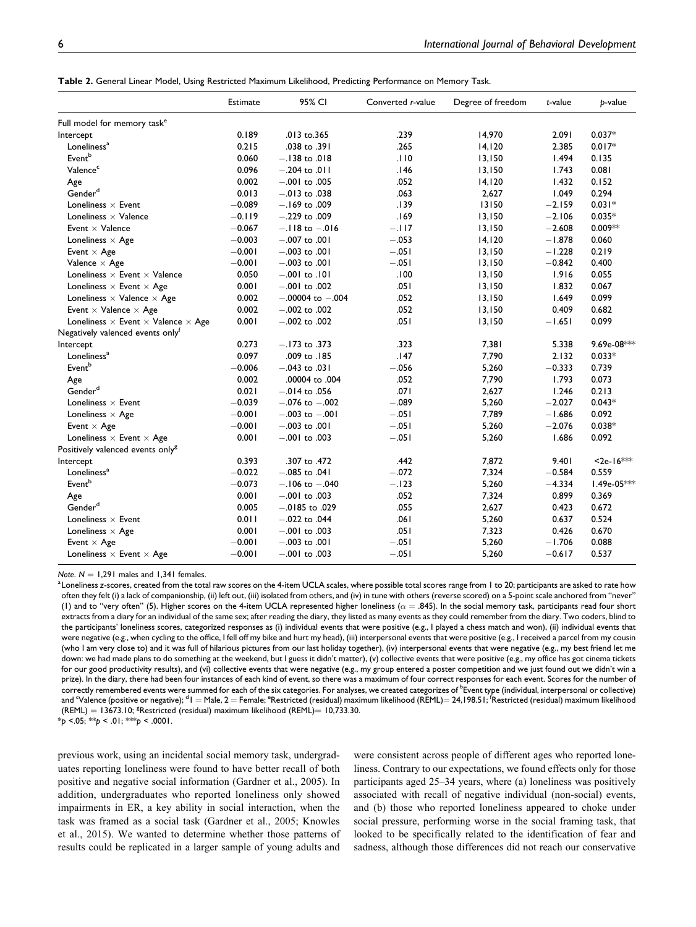|                                                         | Estimate | 95% CI               | Converted r-value | Degree of freedom | t-value  | p-value     |
|---------------------------------------------------------|----------|----------------------|-------------------|-------------------|----------|-------------|
| Full model for memory task <sup>e</sup>                 |          |                      |                   |                   |          |             |
| Intercept                                               | 0.189    | .013 to.365          | .239              | 14,970            | 2.091    | $0.037*$    |
| Loneliness <sup>a</sup>                                 | 0.215    | .038 to .391         | .265              | 14,120            | 2.385    | $0.017*$    |
| Eventb                                                  | 0.060    | $-.138$ to .018      | .110              | 13,150            | 1.494    | 0.135       |
| Valence <sup>c</sup>                                    | 0.096    | $-.204$ to .011      | .146              | 13,150            | 1.743    | 0.081       |
| Age                                                     | 0.002    | $-.001$ to .005      | .052              | 14, 120           | 1.432    | 0.152       |
| Gender <sup>d</sup>                                     | 0.013    | $-.013$ to .038      | .063              | 2,627             | 1.049    | 0.294       |
| Loneliness $\times$ Event                               | $-0.089$ | $-.169$ to .009      | .139              | 13150             | $-2.159$ | $0.031*$    |
| Loneliness $\times$ Valence                             | $-0.119$ | $-.229$ to .009      | .169              | 13,150            | $-2.106$ | $0.035*$    |
| Event $\times$ Valence                                  | $-0.067$ | $-.118$ to $-.016$   | $-.117$           | 13,150            | $-2.608$ | 0.009**     |
| Loneliness $\times$ Age                                 | $-0.003$ | $-.007$ to .001      | $-.053$           | 14,120            | $-1.878$ | 0.060       |
| Event $\times$ Age                                      | $-0.001$ | $-.003$ to $.001$    | $-.051$           | 13,150            | $-1.228$ | 0.219       |
| Valence $\times$ Age                                    | $-0.001$ | $-.003$ to .001      | $-.051$           | 13,150            | $-0.842$ | 0.400       |
| Loneliness $\times$ Event $\times$ Valence              | 0.050    | $-.001$ to $.101$    | .100              | 13,150            | 1.916    | 0.055       |
| Loneliness $\times$ Event $\times$ Age                  | 0.001    | $-.001$ to .002      | .051              | 13,150            | 1.832    | 0.067       |
| Loneliness $\times$ Valence $\times$ Age                | 0.002    | $-.00004$ to $-.004$ | .052              | 13,150            | 1.649    | 0.099       |
| Event $\times$ Valence $\times$ Age                     | 0.002    | $-.002$ to .002      | .052              | 13,150            | 0.409    | 0.682       |
| Loneliness $\times$ Event $\times$ Valence $\times$ Age | 0.001    | $-.002$ to $.002$    | .051              | 13,150            | $-1.651$ | 0.099       |
| Negatively valenced events only <sup>t</sup>            |          |                      |                   |                   |          |             |
| Intercept                                               | 0.273    | $-.173$ to .373      | .323              | 7,381             | 5.338    | 9.69e-08*** |
| Loneliness <sup>a</sup>                                 | 0.097    | .009 to .185         | .147              | 7,790             | 2.132    | $0.033*$    |
| Event <sup>b</sup>                                      | $-0.006$ | $-.043$ to .031      | $-.056$           | 5,260             | $-0.333$ | 0.739       |
| Age                                                     | 0.002    | .00004 to .004       | .052              | 7,790             | 1.793    | 0.073       |
| Gender <sup>d</sup>                                     | 0.021    | $-.014$ to .056      | .071              | 2,627             | 1.246    | 0.213       |
| Loneliness $\times$ Event                               | $-0.039$ | $-.076$ to $-.002$   | $-.089$           | 5,260             | $-2.027$ | $0.043*$    |
| Loneliness $\times$ Age                                 | $-0.001$ | $-.003$ to $-.001$   | $-.051$           | 7,789             | $-1.686$ | 0.092       |
| Event $\times$ Age                                      | $-0.001$ | $-.003$ to .001      | $-.051$           | 5,260             | $-2.076$ | $0.038*$    |
| Loneliness $\times$ Event $\times$ Age                  | 0.001    | $-.001$ to .003      | $-.051$           | 5,260             | 1.686    | 0.092       |
| Positively valenced events only <sup>g</sup>            |          |                      |                   |                   |          |             |
| Intercept                                               | 0.393    | .307 to .472         | .442              | 7,872             | 9.401    | $2e-16***$  |
| Loneliness <sup>a</sup>                                 | $-0.022$ | $-.085$ to $.041$    | $-.072$           | 7,324             | $-0.584$ | 0.559       |
| Eventb                                                  | $-0.073$ | $-.106$ to $-.040$   | $-.123$           | 5,260             | $-4.334$ | 1.49e-05*** |
| Age                                                     | 0.001    | $-.001$ to .003      | .052              | 7,324             | 0.899    | 0.369       |
| Gender <sup>d</sup>                                     | 0.005    | $-.0185$ to .029     | .055              | 2,627             | 0.423    | 0.672       |
| Loneliness $\times$ Event                               | 0.011    | $-.022$ to .044      | .061              | 5,260             | 0.637    | 0.524       |
| Loneliness $\times$ Age                                 | 0.001    | $-.001$ to .003      | .051              | 7,323             | 0.426    | 0.670       |
| Event $\times$ Age                                      | $-0.001$ | $-.003$ to .001      | $-.051$           | 5,260             | $-1.706$ | 0.088       |
| Loneliness $\times$ Event $\times$ Age                  | $-0.001$ | $-.001$ to .003      | $-.051$           | 5,260             | $-0.617$ | 0.537       |
|                                                         |          |                      |                   |                   |          |             |

*Note*.  $N = 1,291$  males and 1,341 females.

Loneliness *z*-scores, created from the total raw scores on the 4-item UCLA scales, where possible total scores range from 1 to 20; participants are asked to rate how often they felt (i) a lack of companionship, (ii) left out, (iii) isolated from others, and (iv) in tune with others (reverse scored) on a 5-point scale anchored from "never" (1) and to "very often" (5). Higher scores on the 4-item UCLA represented higher loneliness ( $\alpha = .845$ ). In the social memory task, participants read four short extracts from a diary for an individual of the same sex; after reading the diary, they listed as many events as they could remember from the diary. Two coders, blind to the participants' loneliness scores, categorized responses as (i) individual events that were positive (e.g., I played a chess match and won), (ii) individual events that were negative (e.g., when cycling to the office, I fell off my bike and hurt my head), (iii) interpersonal events that were positive (e.g., I received a parcel from my cousin (who I am very close to) and it was full of hilarious pictures from our last holiday together), (iv) interpersonal events that were negative (e.g., my best friend let me down: we had made plans to do something at the weekend, but I guess it didn't matter), (v) collective events that were positive (e.g., my office has got cinema tickets for our good productivity results), and (vi) collective events that were negative (e.g., my group entered a poster competition and we just found out we didn't win a prize). In the diary, there had been four instances of each kind of event, so there was a maximum of four correct responses for each event. Scores for the number of correctly remembered events were summed for each of the six categories. For analyses, we created categorizes of <sup>b</sup>Event type (individual, interpersonal or collective) and <sup>c</sup>Valence (positive or negative); <sup>d</sup> I = Male, 2 = Female; <sup>e</sup>Restricted (residual) maximum likelihood (REML)= 24,198.51; <sup>f</sup>Restricted (residual) maximum likelihood  $(REML) = 13673.10;$ <sup>8</sup>Restricted (residual) maximum likelihood  $(REML) = 10,733.30$ .  $*_{p}$  <.05;  $*_{p}$  < .01;  $*_{p}$  < .0001.

previous work, using an incidental social memory task, undergraduates reporting loneliness were found to have better recall of both positive and negative social information (Gardner et al., 2005). In addition, undergraduates who reported loneliness only showed impairments in ER, a key ability in social interaction, when the task was framed as a social task (Gardner et al., 2005; Knowles et al., 2015). We wanted to determine whether those patterns of results could be replicated in a larger sample of young adults and

were consistent across people of different ages who reported loneliness. Contrary to our expectations, we found effects only for those participants aged 25–34 years, where (a) loneliness was positively associated with recall of negative individual (non-social) events, and (b) those who reported loneliness appeared to choke under social pressure, performing worse in the social framing task, that looked to be specifically related to the identification of fear and sadness, although those differences did not reach our conservative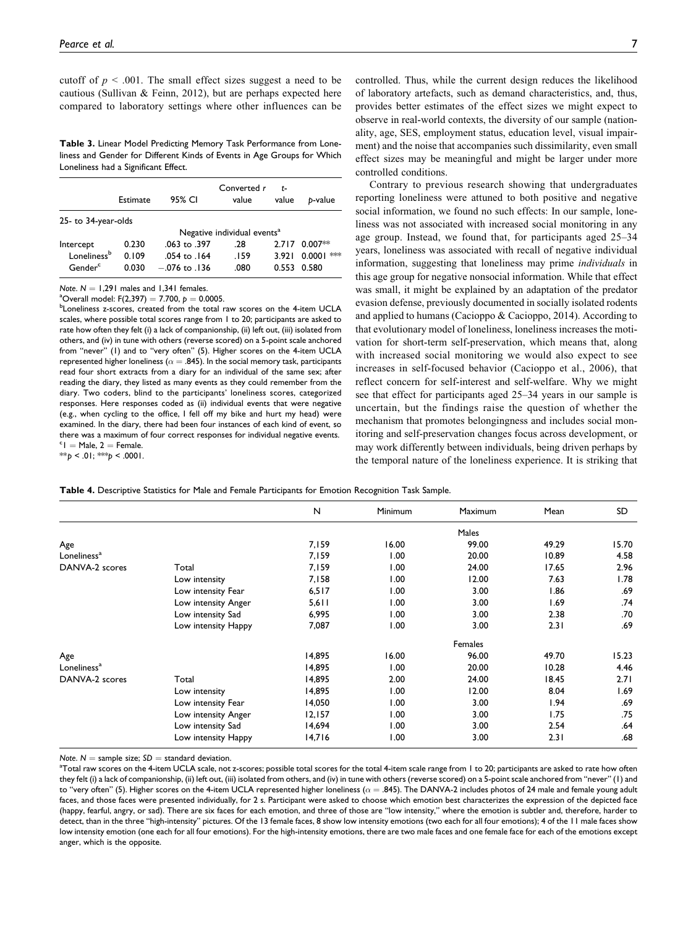cutoff of  $p < .001$ . The small effect sizes suggest a need to be cautious (Sullivan & Feinn, 2012), but are perhaps expected here compared to laboratory settings where other influences can be

**Table 3.** Linear Model Predicting Memory Task Performance from Loneliness and Gender for Different Kinds of Events in Age Groups for Which Loneliness had a Significant Effect.

|                                    | Estimate       | 95% CI                        | Converted r<br>value                    | t-<br>value    | b-value                 |
|------------------------------------|----------------|-------------------------------|-----------------------------------------|----------------|-------------------------|
| 25- to 34-year-olds                |                |                               |                                         |                |                         |
|                                    |                |                               | Negative individual events <sup>a</sup> |                |                         |
| Intercept                          | 0.230          | .063 to .397                  | .28                                     | 2.717          | $0.007**$               |
| Lonelinessb<br>Gender <sup>c</sup> | 0.109<br>0.030 | .054 to .164<br>$-076$ to 136 | .159<br>.080                            | 3.921<br>0.553 | $**$<br>0.0001<br>0.580 |

*Note*.  $N = 1.291$  males and 1,341 females.

 $^{\circ}$ Overall model: F(2,397) = 7.700,  $p = 0.0005$ .

<sup>b</sup>Loneliness z-scores, created from the total raw scores on the 4-item UCLA scales, where possible total scores range from 1 to 20; participants are asked to rate how often they felt (i) a lack of companionship, (ii) left out, (iii) isolated from others, and (iv) in tune with others (reverse scored) on a 5-point scale anchored from "never" (1) and to "very often" (5). Higher scores on the 4-item UCLA represented higher loneliness ( $\alpha = .845$ ). In the social memory task, participants read four short extracts from a diary for an individual of the same sex; after reading the diary, they listed as many events as they could remember from the diary. Two coders, blind to the participants' loneliness scores, categorized responses. Here responses coded as (ii) individual events that were negative (e.g., when cycling to the office, I fell off my bike and hurt my head) were examined. In the diary, there had been four instances of each kind of event, so there was a maximum of four correct responses for individual negative events.  $c<sub>1</sub>$  = Male, 2 = Female. \*\**p* < .01; \*\*\**p* < .0001.

controlled. Thus, while the current design reduces the likelihood of laboratory artefacts, such as demand characteristics, and, thus, provides better estimates of the effect sizes we might expect to observe in real-world contexts, the diversity of our sample (nationality, age, SES, employment status, education level, visual impairment) and the noise that accompanies such dissimilarity, even small effect sizes may be meaningful and might be larger under more controlled conditions.

Contrary to previous research showing that undergraduates reporting loneliness were attuned to both positive and negative social information, we found no such effects: In our sample, loneliness was not associated with increased social monitoring in any age group. Instead, we found that, for participants aged 25–34 years, loneliness was associated with recall of negative individual information, suggesting that loneliness may prime individuals in this age group for negative nonsocial information. While that effect was small, it might be explained by an adaptation of the predator evasion defense, previously documented in socially isolated rodents and applied to humans (Cacioppo & Cacioppo, 2014). According to that evolutionary model of loneliness, loneliness increases the motivation for short-term self-preservation, which means that, along with increased social monitoring we would also expect to see increases in self-focused behavior (Cacioppo et al., 2006), that reflect concern for self-interest and self-welfare. Why we might see that effect for participants aged 25–34 years in our sample is uncertain, but the findings raise the question of whether the mechanism that promotes belongingness and includes social monitoring and self-preservation changes focus across development, or may work differently between individuals, being driven perhaps by the temporal nature of the loneliness experience. It is striking that

| Table 4. Descriptive Statistics for Male and Female Participants for Emotion Recognition Task Sample. |  |  |  |  |
|-------------------------------------------------------------------------------------------------------|--|--|--|--|
|-------------------------------------------------------------------------------------------------------|--|--|--|--|

|                         |                     | N      | Minimum | Maximum | Mean  | SD.   |
|-------------------------|---------------------|--------|---------|---------|-------|-------|
|                         |                     |        |         | Males   |       |       |
| Age                     |                     | 7,159  | 16.00   | 99.00   | 49.29 | 15.70 |
| Loneliness <sup>a</sup> |                     | 7,159  | 1.00    | 20.00   | 10.89 | 4.58  |
| DANVA-2 scores          | Total               | 7,159  | 1.00    | 24.00   | 17.65 | 2.96  |
|                         | Low intensity       | 7,158  | 1.00    | 12.00   | 7.63  | 1.78  |
|                         | Low intensity Fear  | 6,517  | 1.00    | 3.00    | 1.86  | .69   |
|                         | Low intensity Anger | 5,611  | 1.00    | 3.00    | 1.69  | .74   |
|                         | Low intensity Sad   | 6,995  | 1.00    | 3.00    | 2.38  | .70   |
|                         | Low intensity Happy | 7,087  | 1.00    | 3.00    | 2.31  | .69   |
|                         |                     |        |         | Females |       |       |
| Age                     |                     | 14,895 | 16.00   | 96.00   | 49.70 | 15.23 |
| Loneliness <sup>a</sup> |                     | 14,895 | 1.00    | 20.00   | 10.28 | 4.46  |
| DANVA-2 scores          | Total               | 14,895 | 2.00    | 24.00   | 18.45 | 2.71  |
|                         | Low intensity       | 14,895 | 1.00    | 12.00   | 8.04  | 1.69  |
|                         | Low intensity Fear  | 14,050 | 1.00    | 3.00    | 1.94  | .69   |
|                         | Low intensity Anger | 12,157 | 1.00    | 3.00    | 1.75  | .75   |
|                         | Low intensity Sad   | 14,694 | 1.00    | 3.00    | 2.54  | .64   |
|                         | Low intensity Happy | 14,716 | 1.00    | 3.00    | 2.31  | .68   |

*Note.*  $N =$  sample size;  $SD =$  standard deviation.

 $^{\rm a}$ Total raw scores on the 4-item UCLA scale, not z-scores; possible total scores for the total 4-item scale range from 1 to 20; participants are asked to rate how often they felt (i) a lack of companionship, (ii) left out, (iii) isolated from others, and (iv) in tune with others (reverse scored) on a 5-point scale anchored from "never" (1) and to "very often" (5). Higher scores on the 4-item UCLA represented higher loneliness ( $\alpha = .845$ ). The DANVA-2 includes photos of 24 male and female young adult faces, and those faces were presented individually, for 2 s. Participant were asked to choose which emotion best characterizes the expression of the depicted face (happy, fearful, angry, or sad). There are six faces for each emotion, and three of those are "low intensity," where the emotion is subtler and, therefore, harder to detect, than in the three "high-intensity" pictures. Of the 13 female faces, 8 show low intensity emotions (two each for all four emotions); 4 of the 11 male faces show low intensity emotion (one each for all four emotions). For the high-intensity emotions, there are two male faces and one female face for each of the emotions except anger, which is the opposite.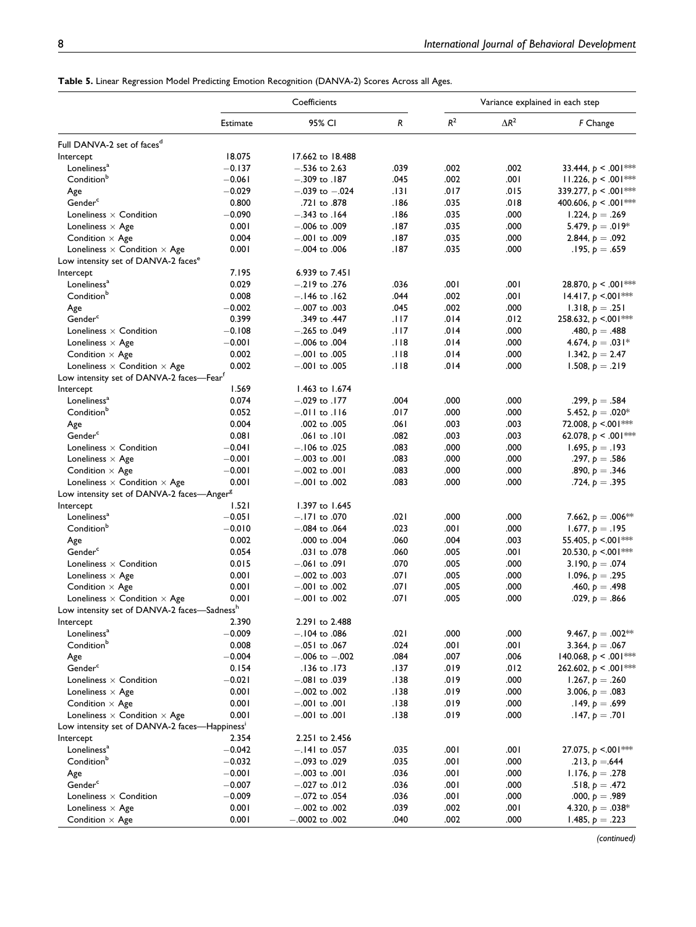|  |  |  |  | Table 5. Linear Regression Model Predicting Emotion Recognition (DANVA-2) Scores Across all Ages. |
|--|--|--|--|---------------------------------------------------------------------------------------------------|
|--|--|--|--|---------------------------------------------------------------------------------------------------|

|                                                         |                   | Coefficients       |        |       |              | Variance explained in each step                  |
|---------------------------------------------------------|-------------------|--------------------|--------|-------|--------------|--------------------------------------------------|
|                                                         | Estimate          | 95% CI             | R      | $R^2$ | $\Delta R^2$ | F Change                                         |
| Full DANVA-2 set of faces <sup>a</sup>                  |                   |                    |        |       |              |                                                  |
| Intercept                                               | 18.075            | 17.662 to 18.488   |        |       |              |                                                  |
| Loneliness <sup>a</sup>                                 | $-0.137$          | $-.536$ to 2.63    | .039   | .002  | .002         | 33.444, $p < .001$ ***                           |
| Condition <sup>b</sup>                                  | $-0.061$          | $-.309$ to $.187$  | .045   | .002  | .00۱         | 11.226, $p < .001$ **                            |
| Age                                                     | $-0.029$          | $-.039$ to $-.024$ | . 131  | .017  | .015         | 339.277, $p < .001$ **                           |
| Gender <sup>c</sup>                                     | 0.800             | .721 to .878       | 186.   | .035  | .018         | 400.606, $p < .001$ ***                          |
| Loneliness $\times$ Condition                           | $-0.090$          | $-.343$ to $.164$  | .186   | .035  | .000         | 1.224, $p=.269$                                  |
| Loneliness $\times$ Age                                 | 0.001             | $-.006$ to $.009$  | .187   | .035  | .000         | 5.479, $p = .019*$                               |
| Condition $\times$ Age                                  | 0.004             | $-.001$ to $.009$  | .187   | .035  | .000         | 2.844, $p = .092$                                |
| Loneliness $\times$ Condition $\times$ Age              | 0.001             | $-.004$ to .006    | .187   | .035  | .000         | $.195, p = .659$                                 |
| Low intensity set of DANVA-2 faces <sup>e</sup>         |                   |                    |        |       |              |                                                  |
| Intercept                                               | 7.195             | 6.939 to 7.451     |        |       |              |                                                  |
| Loneliness <sup>a</sup>                                 | 0.029             | $-.219$ to .276    | .036   | .001  | .00۱         | 28.870, $p < .001$ ***                           |
| Condition <sup>b</sup>                                  | 0.008             | $-.146$ to $.162$  | .044   | .002  | .00۱         | 14.417, $p \le 001$ ***                          |
| Age                                                     | $-0.002$          | $-.007$ to .003    | .045   | .002  | .000         | 1.318, $p = .251$                                |
| Gender <sup>c</sup>                                     | 0.399             | .349 to .447       | .। । 7 | .014  | .012         | 258.632, $p \le 001$ ***                         |
| Loneliness $\times$ Condition                           | $-0.108$          | $-.265$ to .049    | .117   | .014  | .000         | .480, $p = .488$                                 |
| Loneliness $\times$ Age                                 | $-0.001$          | $-.006$ to .004    | .।।8   | .014  | .000         | 4.674, $p = .031*$                               |
| Condition $\times$ Age                                  | 0.002             | $-.001$ to $.005$  | .।।8   | .014  | .000         | 1.342, $p = 2.47$                                |
| Loneliness $\times$ Condition $\times$ Age              | 0.002             | $-.001$ to $.005$  | .118   | .014  | .000         | 1.508, $p=.219$                                  |
| Low intensity set of DANVA-2 faces—Fear <sup>t</sup>    |                   |                    |        |       |              |                                                  |
| Intercept                                               | 1.569             | 1.463 to 1.674     |        |       |              |                                                  |
| Loneliness <sup>a</sup>                                 | 0.074             | $-.029$ to $.177$  | .004   | .000  | .000         | .299, p = .584                                   |
| Condition <sup>b</sup>                                  | 0.052             | $-.011$ to $.116$  | .017   | .000  | .000         | 5.452, $p = .020*$                               |
|                                                         | 0.004             | .002 to .005       | .06۱   | .003  | .003         |                                                  |
| Age<br>Gender <sup>c</sup>                              | 0.081             | .061 to .101       | .082   | .003  | .003         | 72.008, $p \le 001$ ***<br>62.078, $p < .001$ ** |
| Loneliness $\times$ Condition                           | $-0.041$          | $-.106$ to .025    | .083   | .000  | .000         |                                                  |
|                                                         | $-0.001$          | $-.003$ to .001    | .083   | .000  | .000         | 1.695, $p=.193$                                  |
| Loneliness $\times$ Age                                 | $-0.001$          | $-.002$ to $.001$  | .083   | .000  | .000         | .297, $p=.586$                                   |
| Condition $\times$ Age                                  | 0.001             |                    | .083   | .000  | .000         | .890, $p=.346$                                   |
| Loneliness $\times$ Condition $\times$ Age              |                   | $-.001$ to .002    |        |       |              | .724, $p=.395$                                   |
| Low intensity set of DANVA-2 faces—Anger <sup>8</sup>   |                   | 1.397 to 1.645     |        |       |              |                                                  |
| Intercept<br>Loneliness <sup>a</sup>                    | 1.521<br>$-0.051$ | $-.171$ to .070    | .021   | .000  | .000         | 7.662, $p = .006**$                              |
| Conditionb                                              | $-0.010$          |                    | .023   | .001  | .000         |                                                  |
|                                                         | 0.002             | $-.084$ to .064    |        | .004  | .003         | 1.677, $p = 195$                                 |
| Age                                                     |                   | .000 to .004       | .060   |       |              | 55.405, $p \le 001$ ***                          |
| Gender <sup>c</sup>                                     | 0.054             | .031 to .078       | .060   | .005  | .00۱         | 20.530, $p \le 001$ ***                          |
| Loneliness $\times$ Condition                           | 0.015             | $-.061$ to .091    | .070   | .005  | .000         | 3.190, $p = .074$                                |
| Loneliness $\times$ Age                                 | 0.001             | $-.002$ to .003    | .07۱   | .005  | .000         | 1.096, $p=.295$                                  |
| Condition $\times$ Age                                  | 0.001             | $-.001$ to $.002$  | .071   | .005  | .000         | .460, $p = .498$                                 |
| Loneliness $\times$ Condition $\times$ Age              | 0.001             | $-.001$ to $.002$  | .071   | .005  | .000         | .029, $p = .866$                                 |
| Low intensity set of DANVA-2 faces—Sadness <sup>h</sup> |                   |                    |        |       |              |                                                  |
| Intercept                                               | 2.390             | 2.291 to 2.488     |        |       |              |                                                  |
| Loneliness <sup>a</sup>                                 | $-0.009$          | $-.104$ to .086    | .021   | .000  | .000         | 9.467, $p = .002**$                              |
| Conditionb                                              | 0.008             | $-.051$ to .067    | .024   | .001  | .001         | 3.364, $p = .067$                                |
| Age                                                     | $-0.004$          | $-.006$ to $-.002$ | .084   | .007  | .006         | 140.068, $p < .001$ ***                          |
| Gender <sup>c</sup>                                     | 0.154             | .136 to .173       | .137   | .019  | .012         | 262.602, $p < .001$ ***                          |
| Loneliness $\times$ Condition                           | $-0.021$          | $-.081$ to $.039$  | .138   | .019  | .000         | 1.267, $p = .260$                                |
| Loneliness $\times$ Age                                 | 0.001             | $-.002$ to $.002$  | .138   | .019  | .000         | 3.006, $p = .083$                                |
| Condition $\times$ Age                                  | 0.001             | $-.001$ to $.001$  | .138   | .019  | .000         | .149, $p = .699$                                 |
| Loneliness $\times$ Condition $\times$ Age              | 0.001             | $-.001$ to .001    | .138   | .019  | .000         | .147, $p = .701$                                 |
| Low intensity set of DANVA-2 faces—Happiness'           |                   |                    |        |       |              |                                                  |
| Intercept                                               | 2.354             | 2.251 to 2.456     |        |       |              |                                                  |
| Loneliness <sup>a</sup>                                 | $-0.042$          | $-.141$ to .057    | .035   | .001  | .001         | 27.075, $p \le 001$ ***                          |
| Condition <sup>b</sup>                                  | $-0.032$          | $-.093$ to .029    | .035   | .001  | .000         | .213, $p = .644$                                 |
| Age                                                     | $-0.001$          | $-.003$ to .001    | .036   | .001  | .000         | $1.176, p = .278$                                |
| Gender <sup>c</sup>                                     | $-0.007$          | $-.027$ to $.012$  | .036   | .001  | .000         | .518, $p = .472$                                 |
| Loneliness $\times$ Condition                           | $-0.009$          | $-.072$ to .054    | .036   | .001  | .000         | .000, $p=.989$                                   |
| Loneliness $\times$ Age                                 | 0.001             | $-.002$ to $.002$  | .039   | .002  | .001         | 4.320, $p = .038*$                               |
| Condition $\times$ Age                                  | 0.001             | $-.0002$ to .002   | .040   | .002  | .000         | 1.485, $p=.223$                                  |

*(continued)*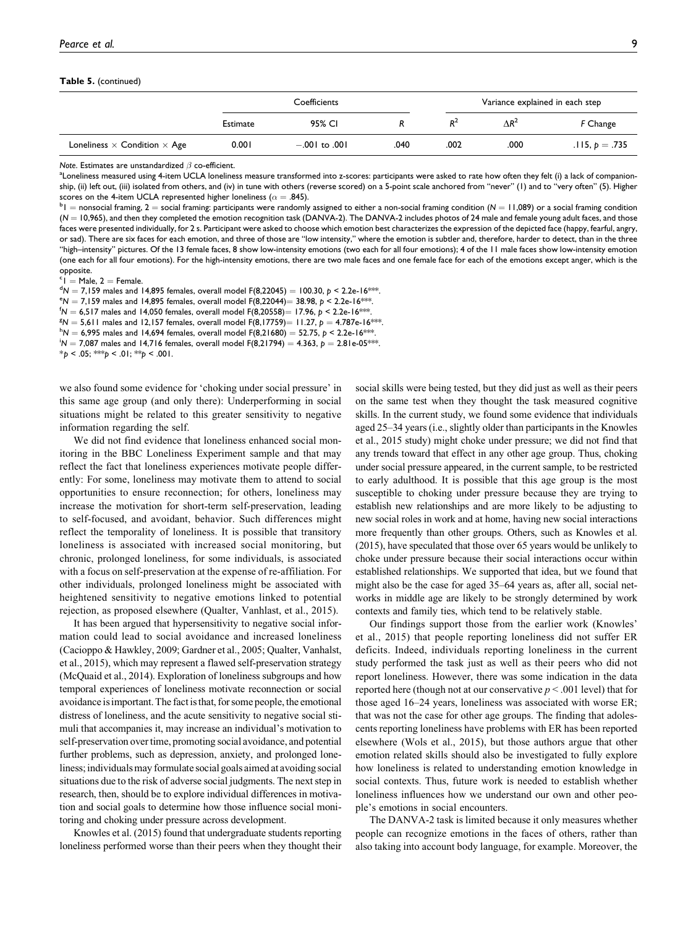#### **Table 5.** (continued)

|                                            | Coefficients |                   |      |       | Variance explained in each step |                  |
|--------------------------------------------|--------------|-------------------|------|-------|---------------------------------|------------------|
|                                            | Estimate     | 95% CI            |      | $R^2$ | $\Lambda$ R <sup>2</sup>        | F Change         |
| Loneliness $\times$ Condition $\times$ Age | 0.001        | $-.001$ to $.001$ | .040 | .002  | .000                            | $.115, p = .735$ |

*Note*. Estimates are unstandardized  $\beta$  co-efficient.

Loneliness measured using 4-item UCLA loneliness measure transformed into z-scores: participants were asked to rate how often they felt (i) a lack of companionship, (ii) left out, (iii) isolated from others, and (iv) in tune with others (reverse scored) on a 5-point scale anchored from "never" (1) and to "very often" (5). Higher scores on the 4-item UCLA represented higher loneliness ( $\alpha = .845$ ).

 $b_1$  = nonsocial framing, 2 = social framing: participants were randomly assigned to either a non-social framing condition ( $N = 11,089$ ) or a social framing condition ( $N = 10,965$ ), and then they completed the emotion recognition task (DANVA-2). The DANVA-2 includes photos of 24 male and female young adult faces, and those faces were presented individually, for 2 s. Participant were asked to choose which emotion best characterizes the expression of the depicted face (happy, fearful, angry, or sad). There are six faces for each emotion, and three of those are "low intensity," where the emotion is subtler and, therefore, harder to detect, than in the three "high–intensity" pictures. Of the 13 female faces, 8 show low-intensity emotions (two each for all four emotions); 4 of the 11 male faces show low-intensity emotion (one each for all four emotions). For the high-intensity emotions, there are two male faces and one female face for each of the emotions except anger, which is the opposite.

 $c =$ Male, 2 = Female  $1^{\circ}$ l  $=$  Male, 2  $=$  Female.<br> $1^{\circ}$ N  $=$  7 159 males and 1

<sup>a</sup>N = 7,159 males and 14,895 females, overall model F(8,22045) = 100.30, *p <* 2.2e-16\*\*\*<br>°N − 7 159 males and 14,895 females, overall model F(8,22044)− 38,98, b < 2,2e-16\*\*\*

 $N = 7,159$  males and 14,895 females, overall model F(8,22044) = 38.98,  $p < 2.2e-16$  \*\*\*

 $N = 6,517$  males and 14,050 females, overall model F(8,20558) = 17.96,  $p \le 2.2e-16$ \*\*\*.

 $N = 5,611$  males and 12,157 females, overall model F(8,17759) = 11.27,  $p = 4.787e-16$ \*\*\*

 $^{\sf h}$ N  $=$  6,995 males and 14,694 females, overall model F(8,21680)  $=$  52.75,  $p$  < 2.2e-16\*\*

 $N = 7,087$  males and 14,716 females, overall model F(8,21794) = 4.363,  $p = 2.81e-05$ \*\*\*.

 $*_{p}$  < .05; \*\**p* < .01; \*\**p* < .001.

we also found some evidence for 'choking under social pressure' in this same age group (and only there): Underperforming in social situations might be related to this greater sensitivity to negative information regarding the self.

We did not find evidence that loneliness enhanced social monitoring in the BBC Loneliness Experiment sample and that may reflect the fact that loneliness experiences motivate people differently: For some, loneliness may motivate them to attend to social opportunities to ensure reconnection; for others, loneliness may increase the motivation for short-term self-preservation, leading to self-focused, and avoidant, behavior. Such differences might reflect the temporality of loneliness. It is possible that transitory loneliness is associated with increased social monitoring, but chronic, prolonged loneliness, for some individuals, is associated with a focus on self-preservation at the expense of re-affiliation. For other individuals, prolonged loneliness might be associated with heightened sensitivity to negative emotions linked to potential rejection, as proposed elsewhere (Qualter, Vanhlast, et al., 2015).

It has been argued that hypersensitivity to negative social information could lead to social avoidance and increased loneliness (Cacioppo & Hawkley, 2009; Gardner et al., 2005; Qualter, Vanhalst, et al., 2015), which may represent a flawed self-preservation strategy (McQuaid et al., 2014). Exploration of loneliness subgroups and how temporal experiences of loneliness motivate reconnection or social avoidance is important. The fact is that, for some people, the emotional distress of loneliness, and the acute sensitivity to negative social stimuli that accompanies it, may increase an individual's motivation to self-preservation over time, promoting social avoidance, and potential further problems, such as depression, anxiety, and prolonged loneliness; individuals may formulate social goals aimed at avoiding social situations due to the risk of adverse social judgments. The next step in research, then, should be to explore individual differences in motivation and social goals to determine how those influence social monitoring and choking under pressure across development.

Knowles et al. (2015) found that undergraduate students reporting loneliness performed worse than their peers when they thought their social skills were being tested, but they did just as well as their peers on the same test when they thought the task measured cognitive skills. In the current study, we found some evidence that individuals aged 25–34 years (i.e., slightly older than participants in the Knowles et al., 2015 study) might choke under pressure; we did not find that any trends toward that effect in any other age group. Thus, choking under social pressure appeared, in the current sample, to be restricted to early adulthood. It is possible that this age group is the most susceptible to choking under pressure because they are trying to establish new relationships and are more likely to be adjusting to new social roles in work and at home, having new social interactions more frequently than other groups. Others, such as Knowles et al. (2015), have speculated that those over 65 years would be unlikely to choke under pressure because their social interactions occur within established relationships. We supported that idea, but we found that might also be the case for aged 35–64 years as, after all, social networks in middle age are likely to be strongly determined by work contexts and family ties, which tend to be relatively stable.

Our findings support those from the earlier work (Knowles' et al., 2015) that people reporting loneliness did not suffer ER deficits. Indeed, individuals reporting loneliness in the current study performed the task just as well as their peers who did not report loneliness. However, there was some indication in the data reported here (though not at our conservative  $p < .001$  level) that for those aged 16–24 years, loneliness was associated with worse ER; that was not the case for other age groups. The finding that adolescents reporting loneliness have problems with ER has been reported elsewhere (Wols et al., 2015), but those authors argue that other emotion related skills should also be investigated to fully explore how loneliness is related to understanding emotion knowledge in social contexts. Thus, future work is needed to establish whether loneliness influences how we understand our own and other people's emotions in social encounters.

The DANVA-2 task is limited because it only measures whether people can recognize emotions in the faces of others, rather than also taking into account body language, for example. Moreover, the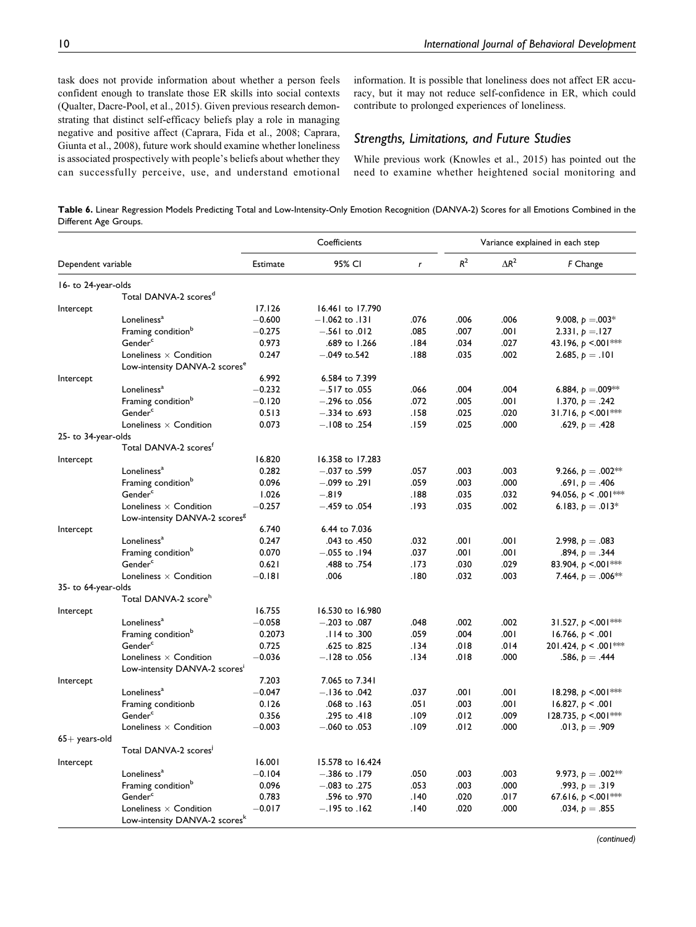task does not provide information about whether a person feels confident enough to translate those ER skills into social contexts (Qualter, Dacre-Pool, et al., 2015). Given previous research demonstrating that distinct self-efficacy beliefs play a role in managing negative and positive affect (Caprara, Fida et al., 2008; Caprara, Giunta et al., 2008), future work should examine whether loneliness is associated prospectively with people's beliefs about whether they can successfully perceive, use, and understand emotional

information. It is possible that loneliness does not affect ER accuracy, but it may not reduce self-confidence in ER, which could contribute to prolonged experiences of loneliness.

# *Strengths, Limitations, and Future Studies*

While previous work (Knowles et al., 2015) has pointed out the need to examine whether heightened social monitoring and

**Table 6.** Linear Regression Models Predicting Total and Low-Intensity-Only Emotion Recognition (DANVA-2) Scores for all Emotions Combined in the Different Age Groups.

|                     |                                           |          | Coefficients       |              |       |                          | Variance explained in each step |
|---------------------|-------------------------------------------|----------|--------------------|--------------|-------|--------------------------|---------------------------------|
| Dependent variable  |                                           | Estimate | 95% CI             | $\mathbf{r}$ | $R^2$ | $\Lambda$ R <sup>2</sup> | F Change                        |
| 16- to 24-year-olds |                                           |          |                    |              |       |                          |                                 |
|                     | Total DANVA-2 scores <sup>d</sup>         |          |                    |              |       |                          |                                 |
| Intercept           |                                           | 17.126   | 16.461 to 17.790   |              |       |                          |                                 |
|                     | Loneliness <sup>a</sup>                   | $-0.600$ | $-1.062$ to $.131$ | .076         | .006  | .006                     | 9.008, $p = 0.03*$              |
|                     | Framing condition <sup>b</sup>            | $-0.275$ | $-.561$ to .012    | .085         | .007  | 100.                     | 2.331, $p = 127$                |
|                     | Gender <sup>c</sup>                       | 0.973    | .689 to 1.266      | 184.         | .034  | .027                     | 43.196, $p \le 001$ ***         |
|                     | Loneliness $\times$ Condition             | 0.247    | $-.049$ to.542     | .188         | .035  | .002                     | 2.685, $p = .101$               |
|                     | Low-intensity DANVA-2 scores <sup>e</sup> |          |                    |              |       |                          |                                 |
| Intercept           |                                           | 6.992    | 6.584 to 7.399     |              |       |                          |                                 |
|                     | Loneliness <sup>a</sup>                   | $-0.232$ | $-.517$ to .055    | .066         | .004  | .004                     | 6.884, $p = 0.009**$            |
|                     | Framing condition <sup>b</sup>            | $-0.120$ | $-.296$ to $.056$  | .072         | .005  | 100.                     | 1.370, $p=.242$                 |
|                     | Gender <sup>c</sup>                       | 0.513    | $-.334$ to $.693$  | .158         | .025  | .020                     | 31.716, $p \le 001$ **          |
|                     | Loneliness $\times$ Condition             | 0.073    | $-.108$ to .254    | .159         | .025  | .000                     | .629, $p=.428$                  |
| 25- to 34-year-olds |                                           |          |                    |              |       |                          |                                 |
|                     | Total DANVA-2 scores <sup>t</sup>         |          |                    |              |       |                          |                                 |
| Intercept           |                                           | 16.820   | 16.358 to 17.283   |              |       |                          |                                 |
|                     | Loneliness <sup>a</sup>                   | 0.282    | $-.037$ to .599    | .057         | .003  | .003                     | 9.266, $p = .002**$             |
|                     | Framing condition <sup>b</sup>            | 0.096    | $-.099$ to .291    | .059         | .003  | .000                     | .691, $p = .406$                |
|                     | Gender <sup>c</sup>                       | 1.026    | $-.819$            | .188         | .035  | .032                     | 94.056, $p < .001$ ***          |
|                     | Loneliness $\times$ Condition             | $-0.257$ | $-.459$ to .054    | .193         | .035  | .002                     | 6.183, $p = .013*$              |
|                     | Low-intensity DANVA-2 scores <sup>8</sup> |          |                    |              |       |                          |                                 |
| Intercept           |                                           | 6.740    | 6.44 to 7.036      |              |       |                          |                                 |
|                     | Loneliness <sup>a</sup>                   | 0.247    | .043 to .450       | .032         | .001  | ا 00.                    | 2.998, $p=.083$                 |
|                     | Framing condition <sup>b</sup>            | 0.070    | $-.055$ to $.194$  | .037         | .001  | .001                     | .894, $p=.344$                  |
|                     | Gender <sup>c</sup>                       | 0.621    | .488 to .754       | .173         | .030  | .029                     | 83.904, $p \le 001$ **          |
|                     | Loneliness $\times$ Condition             | $-0.181$ | .006               | .180         | .032  | .003                     | 7.464, $p=.006**$               |
| 35- to 64-year-olds |                                           |          |                    |              |       |                          |                                 |
|                     | Total DANVA-2 score <sup>h</sup>          |          |                    |              |       |                          |                                 |
| Intercept           |                                           | 16.755   | 16.530 to 16.980   |              |       |                          |                                 |
|                     | Loneliness <sup>a</sup>                   | $-0.058$ | $-.203$ to $.087$  | .048         | .002  | .002                     | 31.527, $p \le 001$ ***         |
|                     | Framing condition <sup>b</sup>            | 0.2073   | .114 to .300       | .059         | .004  | .001                     | 16.766, $p < .001$              |
|                     | Gender <sup>c</sup>                       | 0.725    | .625 to .825       | .134         | .018  | .014                     | 201.424, $p < .001$ ***         |
|                     | Loneliness $\times$ Condition             | $-0.036$ | $-.128$ to .056    | .134         | .018  | .000                     | .586, $p = .444$                |
|                     | Low-intensity DANVA-2 scores'             |          |                    |              |       |                          |                                 |
| Intercept           |                                           | 7.203    | 7.065 to 7.341     |              |       |                          |                                 |
|                     | Loneliness <sup>a</sup>                   | $-0.047$ | $-.136$ to .042    | .037         | .001  | .001                     | 18.298, $p \le 001$ **          |
|                     | Framing conditionb                        | 0.126    | $.068$ to $.163$   | .051         | .003  | .001                     | 16.827, $p < .001$              |
|                     | Gender <sup>c</sup>                       | 0.356    | .295 to .418       | .109         | .012  | .009                     | 128.735, $p \le 001$ **         |
|                     | Loneliness $\times$ Condition             | $-0.003$ | $-.060$ to .053    | .109         | .012  | .000                     | .013, $p = .909$                |
| $65+$ years-old     | Total DANVA-2 scores <sup>1</sup>         |          |                    |              |       |                          |                                 |
| Intercept           |                                           | 16.001   | 15.578 to 16.424   |              |       |                          |                                 |
|                     | Loneliness <sup>a</sup>                   | $-0.104$ | $-.386$ to $.179$  | .050         | .003  | .003                     | 9.973, $p = .002**$             |
|                     | Framing condition <sup>o</sup>            | 0.096    | $-.083$ to .275    | .053         | .003  | .000                     | .993, $p=.319$                  |
|                     | Gender <sup>c</sup>                       | 0.783    | .596 to .970       | .140         | .020  | .017                     | 67.616, $p \le 001$ ***         |
|                     | Loneliness $\times$ Condition             | $-0.017$ | $-.195$ to $.162$  | .140         | .020  | .000                     | .034, $p=.855$                  |
|                     | Low-intensity DANVA-2 scores <sup>k</sup> |          |                    |              |       |                          |                                 |

*(continued)*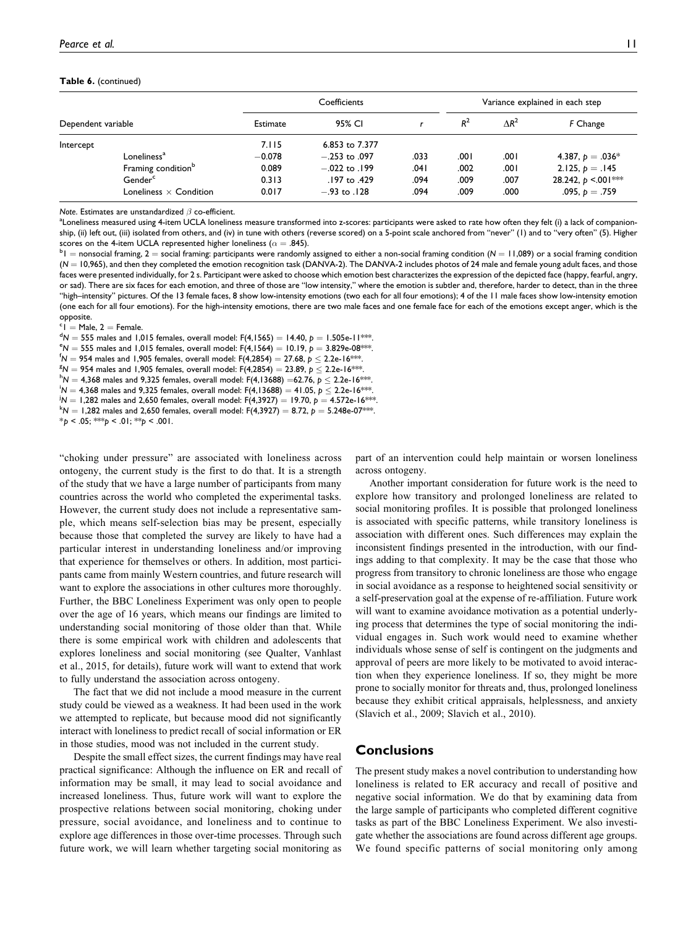#### **Table 6.** (continued)

|                    |                                |          | Coefficients      |      |       | Variance explained in each step |                        |  |  |
|--------------------|--------------------------------|----------|-------------------|------|-------|---------------------------------|------------------------|--|--|
| Dependent variable |                                | Estimate | 95% CI            |      | $R^2$ | $\Lambda$ R <sup>2</sup>        | F Change               |  |  |
| Intercept          |                                | 7.115    | 6.853 to 7.377    |      |       |                                 |                        |  |  |
|                    | Loneliness <sup>a</sup>        | $-0.078$ | $-.253$ to .097   | .033 | 00۱.  | .001                            | 4.387, $p = .036*$     |  |  |
|                    | Framing condition <sup>b</sup> | 0.089    | $-.022$ to $.199$ | .041 | .002  | .001                            | 2.125, $p = .145$      |  |  |
|                    | Gender <sup>c</sup>            | 0.313    | .197 to .429      | .094 | .009  | .007                            | 28.242, $p \le 001$ ** |  |  |
|                    | Loneliness $\times$ Condition  | 0.017    | $-.93$ to $.128$  | .094 | .009  | .000                            | .095, $p=.759$         |  |  |

*Note*. Estimates are unstandardized  $\beta$  co-efficient.

Loneliness measured using 4-item UCLA loneliness measure transformed into z-scores: participants were asked to rate how often they felt (i) a lack of companionship, (ii) left out, (iii) isolated from others, and (iv) in tune with others (reverse scored) on a 5-point scale anchored from "never" (1) and to "very often" (5). Higher scores on the 4-item UCLA represented higher loneliness ( $\alpha = .845$ ).

 $1 + 1$  = nonsocial framing, 2 = social framing: participants were randomly assigned to either a non-social framing condition (*N* = 11,089) or a social framing condition  $(N = 10,965)$ , and then they completed the emotion recognition task (DANVA-2). The DANVA-2 includes photos of 24 male and female young adult faces, and those faces were presented individually, for 2 s. Participant were asked to choose which emotion best characterizes the expression of the depicted face (happy, fearful, angry, or sad). There are six faces for each emotion, and three of those are "low intensity," where the emotion is subtler and, therefore, harder to detect, than in the three "high–intensity" pictures. Of the 13 female faces, 8 show low-intensity emotions (two each for all four emotions); 4 of the 11 male faces show low-intensity emotion (one each for all four emotions). For the high-intensity emotions, there are two male faces and one female face for each of the emotions except anger, which is the opposite.

 $c =$ Male, 2 = Female  $1^{\circ}$ l  $=$  Male, 2  $=$  Female.<br> $1^{\circ}$ M  $=$  555 males and 1 0

<sup>a</sup>N = 555 males and 1,015 females, overall model: F(4,1565) = 14.40, *p* = 1.505e-11\*\*\*.<br>°N = 555 males and 1.015 females, overall model: F(4,1564) = 10.19, b = 3.839e-08\*\*\*

 $N = 555$  males and 1,015 females, overall model: F(4,1564) = 10.19,  $p = 3.829e-08$ \*\*\*.

M = 954 males and 1,905 females, overall model: F(4,2854) = 27.68, *p* ≤ 2.2e-16\*\*\*.<br><sup>8M =</sup> 954 males and 1,905 females, overall model: F(4,2854) = 23,89, *b ≤* 2,2e-16\*\*\*

AV = 954 males and 1,905 females, overall model: F(4,2854) = 23.89, *p* ≤ 2.2e-16\*\*\*.<br>hN = 4.368 males and 9.325 females, overall model: F(4.13688) −62.76, b ≤ 2.2e-16\*

<sup>n</sup>N = 4,368 males and 9,325 females, overall model: F(4,13688) =62.76, *p* ≤ 2.2e-16\*\*\*.<br><sup>i</sup>N = 4.368 males and 9.325 females, overall model: F(4.13688) = 41.05, b ≤ 2.2e-16\*\*\*

- $N = 4{,}368$  males and 9,325 females, overall model: F(4,13688) = 41.05, *p*  $\leq 2.2$ e-16\*\*\*.<br>iN = 1.282 males and 2.650 females, overall model: E(4.2927) = 19.70, b = 4.572p 1.4\*\*
- $N = 1,282$  males and 2,650 females, overall model: F(4,3927) = 19.70,  $p = 4.572e-16$ \*\*\*.
- $N = 1,282$  males and 2,650 females, overall model: F(4,3927) = 8.72,  $p = 5.248$ e-07\*\*\*.

\**p* < .05; \*\*\**p* < .01; \*\**p* < .001.

"choking under pressure" are associated with loneliness across ontogeny, the current study is the first to do that. It is a strength of the study that we have a large number of participants from many countries across the world who completed the experimental tasks. However, the current study does not include a representative sample, which means self-selection bias may be present, especially because those that completed the survey are likely to have had a particular interest in understanding loneliness and/or improving that experience for themselves or others. In addition, most participants came from mainly Western countries, and future research will want to explore the associations in other cultures more thoroughly. Further, the BBC Loneliness Experiment was only open to people over the age of 16 years, which means our findings are limited to understanding social monitoring of those older than that. While there is some empirical work with children and adolescents that explores loneliness and social monitoring (see Qualter, Vanhlast et al., 2015, for details), future work will want to extend that work to fully understand the association across ontogeny.

The fact that we did not include a mood measure in the current study could be viewed as a weakness. It had been used in the work we attempted to replicate, but because mood did not significantly interact with loneliness to predict recall of social information or ER in those studies, mood was not included in the current study.

Despite the small effect sizes, the current findings may have real practical significance: Although the influence on ER and recall of information may be small, it may lead to social avoidance and increased loneliness. Thus, future work will want to explore the prospective relations between social monitoring, choking under pressure, social avoidance, and loneliness and to continue to explore age differences in those over-time processes. Through such future work, we will learn whether targeting social monitoring as

part of an intervention could help maintain or worsen loneliness across ontogeny.

Another important consideration for future work is the need to explore how transitory and prolonged loneliness are related to social monitoring profiles. It is possible that prolonged loneliness is associated with specific patterns, while transitory loneliness is association with different ones. Such differences may explain the inconsistent findings presented in the introduction, with our findings adding to that complexity. It may be the case that those who progress from transitory to chronic loneliness are those who engage in social avoidance as a response to heightened social sensitivity or a self-preservation goal at the expense of re-affiliation. Future work will want to examine avoidance motivation as a potential underlying process that determines the type of social monitoring the individual engages in. Such work would need to examine whether individuals whose sense of self is contingent on the judgments and approval of peers are more likely to be motivated to avoid interaction when they experience loneliness. If so, they might be more prone to socially monitor for threats and, thus, prolonged loneliness because they exhibit critical appraisals, helplessness, and anxiety (Slavich et al., 2009; Slavich et al., 2010).

# **Conclusions**

The present study makes a novel contribution to understanding how loneliness is related to ER accuracy and recall of positive and negative social information. We do that by examining data from the large sample of participants who completed different cognitive tasks as part of the BBC Loneliness Experiment. We also investigate whether the associations are found across different age groups. We found specific patterns of social monitoring only among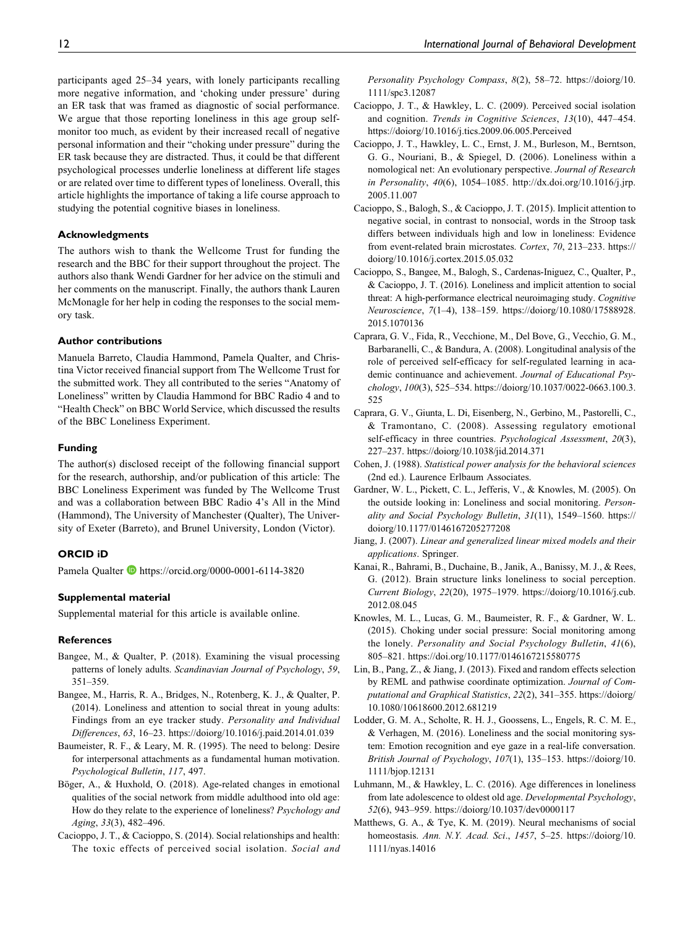participants aged 25–34 years, with lonely participants recalling more negative information, and 'choking under pressure' during an ER task that was framed as diagnostic of social performance. We argue that those reporting loneliness in this age group selfmonitor too much, as evident by their increased recall of negative personal information and their "choking under pressure" during the ER task because they are distracted. Thus, it could be that different psychological processes underlie loneliness at different life stages or are related over time to different types of loneliness. Overall, this article highlights the importance of taking a life course approach to studying the potential cognitive biases in loneliness.

### **Acknowledgments**

The authors wish to thank the Wellcome Trust for funding the research and the BBC for their support throughout the project. The authors also thank Wendi Gardner for her advice on the stimuli and her comments on the manuscript. Finally, the authors thank Lauren McMonagle for her help in coding the responses to the social memory task.

### **Author contributions**

Manuela Barreto, Claudia Hammond, Pamela Qualter, and Christina Victor received financial support from The Wellcome Trust for the submitted work. They all contributed to the series "Anatomy of Loneliness" written by Claudia Hammond for BBC Radio 4 and to "Health Check" on BBC World Service, which discussed the results of the BBC Loneliness Experiment.

### **Funding**

The author(s) disclosed receipt of the following financial support for the research, authorship, and/or publication of this article: The BBC Loneliness Experiment was funded by The Wellcome Trust and was a collaboration between BBC Radio 4's All in the Mind (Hammond), The University of Manchester (Qualter), The University of Exeter (Barreto), and Brunel University, London (Victor).

### **ORCID iD**

Pamela Qualter D<https://orcid.org/0000-0001-6114-3820>

### **Supplemental material**

Supplemental material for this article is available online.

#### **References**

- Bangee, M., & Qualter, P. (2018). Examining the visual processing patterns of lonely adults. Scandinavian Journal of Psychology, 59, 351–359.
- Bangee, M., Harris, R. A., Bridges, N., Rotenberg, K. J., & Qualter, P. (2014). Loneliness and attention to social threat in young adults: Findings from an eye tracker study. Personality and Individual Differences, 63, 16–23.<https://doiorg/10.1016/j.paid.2014.01.039>
- Baumeister, R. F., & Leary, M. R. (1995). The need to belong: Desire for interpersonal attachments as a fundamental human motivation. Psychological Bulletin, 117, 497.
- Böger, A., & Huxhold, O. (2018). Age-related changes in emotional qualities of the social network from middle adulthood into old age: How do they relate to the experience of loneliness? Psychology and Aging, 33(3), 482–496.
- Cacioppo, J. T., & Cacioppo, S. (2014). Social relationships and health: The toxic effects of perceived social isolation. Social and

Personality Psychology Compass, 8(2), 58-72. [https://doiorg/10.](https://doiorg/10.1111/spc3.12087) [1111/spc3.12087](https://doiorg/10.1111/spc3.12087)

- Cacioppo, J. T., & Hawkley, L. C. (2009). Perceived social isolation and cognition. Trends in Cognitive Sciences, 13(10), 447–454. <https://doiorg/10.1016/j.tics.2009.06.005.Perceived>
- Cacioppo, J. T., Hawkley, L. C., Ernst, J. M., Burleson, M., Berntson, G. G., Nouriani, B., & Spiegel, D. (2006). Loneliness within a nomological net: An evolutionary perspective. Journal of Research in Personality, 40(6), 1054–1085. [http://dx.doi.org/10.1016/j.jrp.](http://dx.doi.org/10.1016/j.jrp.2005.11.007) [2005.11.007](http://dx.doi.org/10.1016/j.jrp.2005.11.007)
- Cacioppo, S., Balogh, S., & Cacioppo, J. T. (2015). Implicit attention to negative social, in contrast to nonsocial, words in the Stroop task differs between individuals high and low in loneliness: Evidence from event-related brain microstates. Cortex, 70, 213–233. [https://](https://doiorg/10.1016/j.cortex.2015.05.032) [doiorg/10.1016/j.cortex.2015.05.032](https://doiorg/10.1016/j.cortex.2015.05.032)
- Cacioppo, S., Bangee, M., Balogh, S., Cardenas-Iniguez, C., Qualter, P., & Cacioppo, J. T. (2016). Loneliness and implicit attention to social threat: A high-performance electrical neuroimaging study. Cognitive Neuroscience, 7(1–4), 138–159. [https://doiorg/10.1080/17588928.](https://doiorg/10.1080/17588928.2015.1070136) [2015.1070136](https://doiorg/10.1080/17588928.2015.1070136)
- Caprara, G. V., Fida, R., Vecchione, M., Del Bove, G., Vecchio, G. M., Barbaranelli, C., & Bandura, A. (2008). Longitudinal analysis of the role of perceived self-efficacy for self-regulated learning in academic continuance and achievement. Journal of Educational Psychology, 100(3), 525–534. [https://doiorg/10.1037/0022-0663.100.3.](https://doiorg/10.1037/0022-0663.100.3.525) [525](https://doiorg/10.1037/0022-0663.100.3.525)
- Caprara, G. V., Giunta, L. Di, Eisenberg, N., Gerbino, M., Pastorelli, C., & Tramontano, C. (2008). Assessing regulatory emotional self-efficacy in three countries. Psychological Assessment, 20(3), 227–237.<https://doiorg/10.1038/jid.2014.371>
- Cohen, J. (1988). Statistical power analysis for the behavioral sciences (2nd ed.). Laurence Erlbaum Associates.
- Gardner, W. L., Pickett, C. L., Jefferis, V., & Knowles, M. (2005). On the outside looking in: Loneliness and social monitoring. Personality and Social Psychology Bulletin, 31(11), 1549–1560. [https://](https://doiorg/10.1177/0146167205277208) [doiorg/10.1177/0146167205277208](https://doiorg/10.1177/0146167205277208)
- Jiang, J. (2007). Linear and generalized linear mixed models and their applications. Springer.
- Kanai, R., Bahrami, B., Duchaine, B., Janik, A., Banissy, M. J., & Rees, G. (2012). Brain structure links loneliness to social perception. Current Biology, 22(20), 1975–1979. [https://doiorg/10.1016/j.cub.](https://doiorg/10.1016/j.cub.2012.08.045) [2012.08.045](https://doiorg/10.1016/j.cub.2012.08.045)
- Knowles, M. L., Lucas, G. M., Baumeister, R. F., & Gardner, W. L. (2015). Choking under social pressure: Social monitoring among the lonely. Personality and Social Psychology Bulletin, 41(6), 805–821.<https://doi.org/10.1177/0146167215580775>
- Lin, B., Pang, Z., & Jiang, J. (2013). Fixed and random effects selection by REML and pathwise coordinate optimization. Journal of Computational and Graphical Statistics, 22(2), 341–355. [https://doiorg/](https://doiorg/10.1080/10618600.2012.681219) [10.1080/10618600.2012.681219](https://doiorg/10.1080/10618600.2012.681219)
- Lodder, G. M. A., Scholte, R. H. J., Goossens, L., Engels, R. C. M. E., & Verhagen, M. (2016). Loneliness and the social monitoring system: Emotion recognition and eye gaze in a real-life conversation. British Journal of Psychology, 107(1), 135–153. [https://doiorg/10.](https://doiorg/10.1111/bjop.12131) [1111/bjop.12131](https://doiorg/10.1111/bjop.12131)
- Luhmann, M., & Hawkley, L. C. (2016). Age differences in loneliness from late adolescence to oldest old age. Developmental Psychology, 52(6), 943–959.<https://doiorg/10.1037/dev0000117>
- Matthews, G. A., & Tye, K. M. (2019). Neural mechanisms of social homeostasis. Ann. N.Y. Acad. Sci., 1457, 5-25. [https://doiorg/10.](https://doiorg/10.1111/nyas.14016) [1111/nyas.14016](https://doiorg/10.1111/nyas.14016)